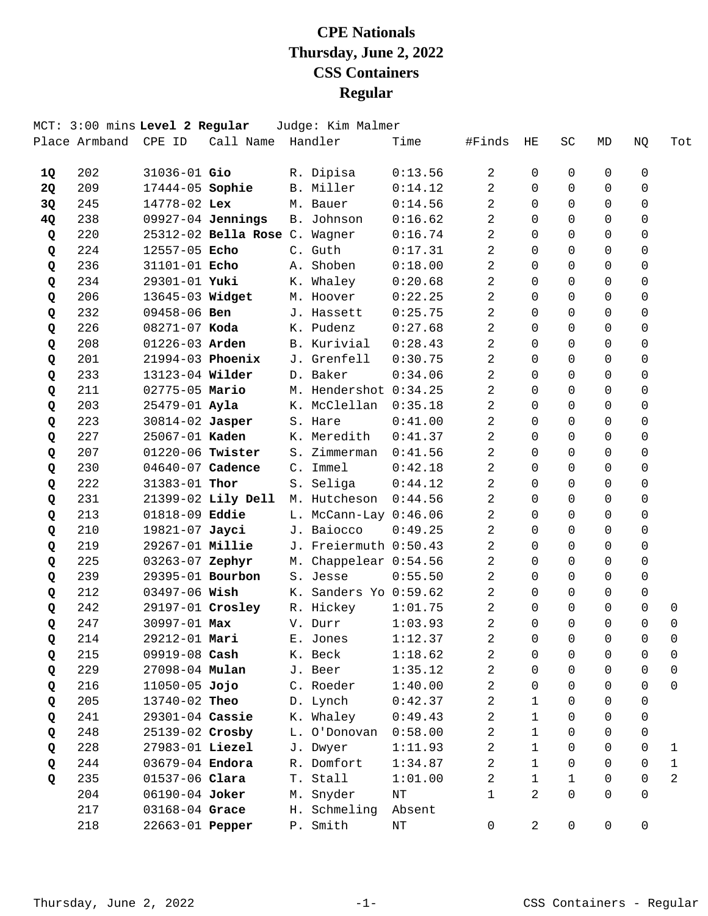|           | MCT: 3:00 mins Level 2 Regular |                       |                               |                | Judge: Kim Malmer         |           |                |                |             |             |             |              |
|-----------|--------------------------------|-----------------------|-------------------------------|----------------|---------------------------|-----------|----------------|----------------|-------------|-------------|-------------|--------------|
|           | Place Armband CPE ID           |                       | Call Name Handler             |                |                           | Time      | #Finds         | ΗE             | SC          | MD          | NQ          | Tot          |
| <b>1Q</b> | 202                            | 31036-01 Gio          |                               |                | R. Dipisa                 | 0:13.56   | 2              | 0              | 0           | 0           | 0           |              |
| <b>2Q</b> | 209                            | 17444-05 Sophie       |                               |                | B. Miller                 | 0:14.12   | 2              | $\Omega$       | 0           | $\Omega$    | $\Omega$    |              |
| 3Q        | 245                            | 14778-02 Lex          |                               |                | M. Bauer                  | 0:14.56   | 2              | $\Omega$       | $\Omega$    | $\Omega$    | $\mathbf 0$ |              |
| 4Q        | 238                            |                       | $09927-04$ Jennings           |                | B. Johnson                | 0:16.62   | 2              | $\Omega$       | $\Omega$    | $\Omega$    | $\mathbf 0$ |              |
| Q         | 220                            |                       | 25312-02 Bella Rose C. Wagner |                |                           | 0:16.74   | 2              | $\Omega$       | $\Omega$    | $\Omega$    | $\Omega$    |              |
| Q         | 224                            | 12557-05 Echo         |                               |                | C. Guth                   | 0:17.31   | 2              | $\Omega$       | $\Omega$    | $\Omega$    | $\Omega$    |              |
| Q         | 236                            | 31101-01 Echo         |                               |                | A. Shoben                 | 0:18.00   | 2              | $\Omega$       | $\Omega$    | $\Omega$    | $\Omega$    |              |
| Q         | 234                            | 29301-01 Yuki         |                               |                | K. Whaley                 | 0:20.68   | 2              | $\Omega$       | $\Omega$    | $\Omega$    | $\mathbf 0$ |              |
| Q         | 206                            | 13645-03 Widget       |                               |                | M. Hoover                 | 0:22.25   | 2              | $\Omega$       | $\Omega$    | $\Omega$    | $\Omega$    |              |
| Q         | 232                            | 09458-06 Ben          |                               |                | J. Hassett                | 0:25.75   | 2              | $\Omega$       | $\Omega$    | $\Omega$    | 0           |              |
| Q         | 226                            | $08271 - 07$ Koda     |                               |                | K. Pudenz                 | 0:27.68   | 2              | $\Omega$       | $\Omega$    | $\Omega$    | 0           |              |
| Q         | 208                            | 01226-03 Arden        |                               |                | B. Kurivial               | 0:28.43   | 2              | $\Omega$       | $\Omega$    | $\mathbf 0$ | $\mathbf 0$ |              |
| Q         | 201                            |                       | 21994-03 Phoenix              |                | J. Grenfell               | 0:30.75   | 2              | $\Omega$       | $\Omega$    | $\Omega$    | $\mathbf 0$ |              |
| Q         | 233                            | 13123-04 Wilder       |                               |                | D. Baker                  | 0:34.06   | $\overline{2}$ | $\Omega$       | $\Omega$    | $\Omega$    | $\Omega$    |              |
| Q         | 211                            | 02775-05 Mario        |                               |                | M. Hendershot 0:34.25     |           | 2              | $\Omega$       | $\Omega$    | $\Omega$    | 0           |              |
| Q         | 203                            | 25479-01 Ayla         |                               |                | K. McClellan              | 0:35.18   | 2              | 0              | $\Omega$    | $\mathbf 0$ | $\mathbf 0$ |              |
| Q         | 223                            | 30814-02 Jasper       |                               |                | S. Hare                   | 0:41.00   | 2              | $\Omega$       | $\Omega$    | 0           | $\mathbf 0$ |              |
| Q         | 227                            | 25067-01 <b>Kaden</b> |                               |                | K. Meredith               | 0:41.37   | 2              | $\Omega$       | $\Omega$    | $\Omega$    | $\Omega$    |              |
| Q         | 207                            | 01220-06 Twister      |                               | S <sub>1</sub> | Zimmerman                 | 0:41.56   | 2              | $\Omega$       | $\Omega$    | $\Omega$    | $\Omega$    |              |
| Q         | 230                            | 04640-07 Cadence      |                               |                | C. Immel                  | 0:42.18   | 2              | $\Omega$       | $\Omega$    | $\Omega$    | $\mathbf 0$ |              |
| Q         | 222                            | 31383-01 Thor         |                               | $S$ .          | Seliga                    | 0:44.12   | 2              | $\Omega$       | $\Omega$    | $\Omega$    | $\mathbf 0$ |              |
| Q         | 231                            |                       | 21399-02 Lily Dell            |                | M. Hutcheson              | 0:44.56   | 2              | $\Omega$       | $\Omega$    | $\Omega$    | $\Omega$    |              |
| Q         | 213                            | 01818-09 Eddie        |                               |                | $L.$ McCann-Lay $0:46.06$ |           | 2              | $\Omega$       | $\Omega$    | $\Omega$    | $\Omega$    |              |
| Q         | 210                            | 19821-07 Jayci        |                               |                | J. Baiocco                | 0:49.25   | 2              | $\Omega$       | $\Omega$    | $\Omega$    | $\Omega$    |              |
| Q         | 219                            | 29267-01 Millie       |                               |                | J. Freiermuth 0:50.43     |           | 2              | $\Omega$       | $\Omega$    | 0           | $\mathbf 0$ |              |
| Q         | 225                            | 03263-07 Zephyr       |                               |                | M. Chappelear 0:54.56     |           | 2              | $\Omega$       | $\Omega$    | $\Omega$    | $\Omega$    |              |
| Q         | 239                            | 29395-01 Bourbon      |                               |                | S. Jesse                  | 0:55.50   | 2              | $\Omega$       | $\Omega$    | 0           | 0           |              |
| Q         | 212                            | $03497 - 06$ Wish     |                               |                | K. Sanders Yo 0:59.62     |           | 2              | $\Omega$       | $\Omega$    | $\Omega$    | $\mathbf 0$ |              |
| Q         | 242                            |                       | 29197-01 Crosley              |                | R. Hickey                 | 1:01.75   | 2              | $\Omega$       | $\Omega$    | 0           | $\mathbf 0$ | 0            |
| Q         | 247                            | 30997-01 Max          |                               |                | V. Durr                   | 1:03.93   | 2              | $\Omega$       | $\Omega$    | $\Omega$    | $\Omega$    | $\Omega$     |
| Q         | 214                            | 29212-01 Mari         |                               |                | E. Jones                  | 1:12.37   | 2              | 0              | 0           | 0           | $\mathbf 0$ | $\mathbf 0$  |
| Q         | 215                            | 09919-08 Cash         |                               |                | K. Beck                   | 1:18.62   | 2              | 0              | 0           | 0           | 0           | 0            |
| Q         | 229                            | 27098-04 Mulan        |                               |                | J. Beer                   | 1:35.12   | 2              | 0              | $\Omega$    | $\mathbf 0$ | $\Omega$    | $\mathbf 0$  |
| Q         | 216                            | $11050 - 05$ Jojo     |                               |                | C. Roeder                 | 1:40.00   | $\overline{2}$ | $\Omega$       | $\Omega$    | $\Omega$    | $\Omega$    | $\Omega$     |
| Q         | 205                            | 13740-02 Theo         |                               |                | D. Lynch                  | 0:42.37   | 2              | $\mathbf{1}$   | 0           | $\Omega$    | $\Omega$    |              |
| Q         | 241                            | 29301-04 Cassie       |                               |                | K. Whaley                 | 0:49.43   | 2              | $\mathbf{1}$   | $\Omega$    | $\Omega$    | 0           |              |
| Q         | 248                            | 25139-02 Crosby       |                               |                | L. O'Donovan              | 0:58.00   | 2              | $\mathbf{1}$   | $\Omega$    | $\mathbf 0$ | 0           |              |
| Q         | 228                            | 27983-01 Liezel       |                               |                | J. Dwyer                  | 1:11.93   | 2              | $\mathbf 1$    | $\Omega$    | $\Omega$    | 0           | 1            |
| Q         | 244                            | 03679-04 Endora       |                               |                | R. Domfort                | 1:34.87   | $\overline{a}$ | $\mathbf{1}$   | $\Omega$    | 0           | $\Omega$    | $\mathbf{1}$ |
| Q         | 235                            | 01537-06 Clara        |                               | T.             | Stall                     | 1:01.00   | 2              | $\mathbf{1}$   | $\mathbf 1$ | $\Omega$    | $\Omega$    | 2            |
|           | 204                            | 06190-04 Joker        |                               | М.             | Snyder                    | NT        | 1              | $\overline{2}$ | $\Omega$    | $\Omega$    | $\Omega$    |              |
|           | 217                            | 03168-04 Grace        |                               | Н.             | Schmeling                 | Absent    |                |                |             |             |             |              |
|           | 218                            | 22663-01 Pepper       |                               | P.             | Smith                     | $\rm{NT}$ | $\mathsf{O}$   | $\overline{a}$ | 0           | 0           | 0           |              |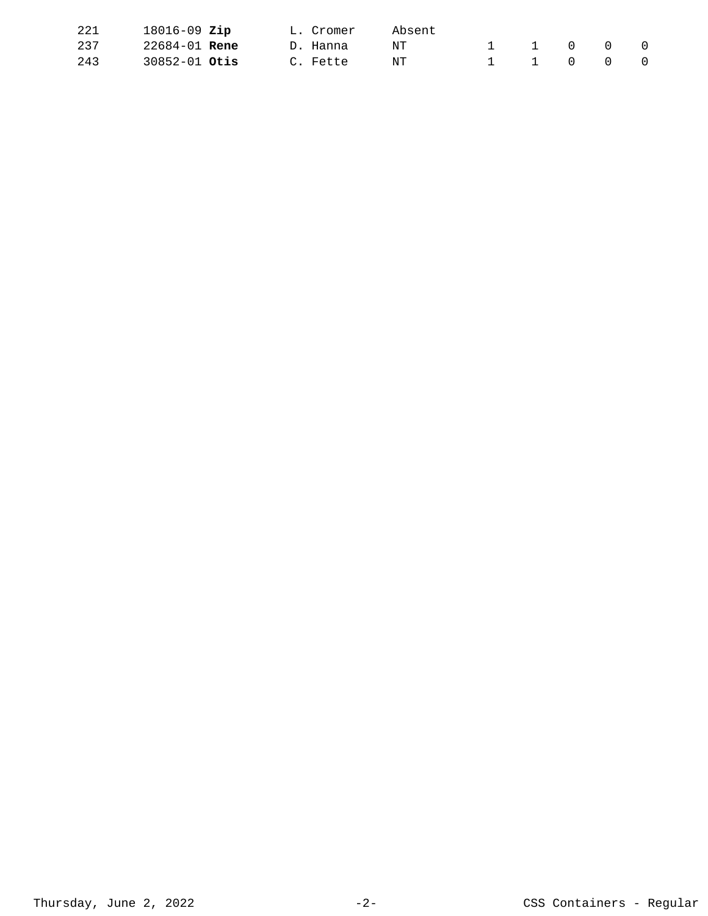| 221 | $18016 - 09$ Zip     |  | L. Cromer | Absent |  |                |           |          |
|-----|----------------------|--|-----------|--------|--|----------------|-----------|----------|
| 237 | 22684-01 <b>Rene</b> |  | D. Hanna  | NΤ     |  | $\overline{0}$ | $\bigcap$ | $\Omega$ |
| 243 | $30852 - 01$ Otis    |  | C. Fette  | NT     |  | 1 1 0 0 0      |           |          |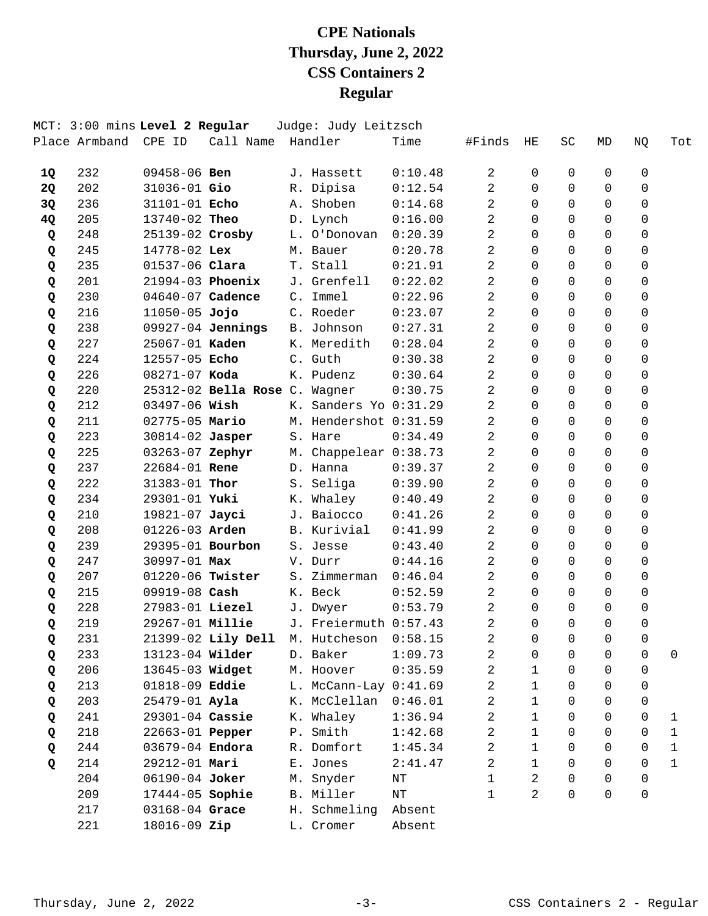|    | MCT: 3:00 mins Level 2 Regular<br>Place Armband | CPE ID            | Call Name                     |    | Judge: Judy Leitzsch<br>Handler | Time    | #Finds         | ΗE           | <b>SC</b> | MD       | NQ | Tot          |
|----|-------------------------------------------------|-------------------|-------------------------------|----|---------------------------------|---------|----------------|--------------|-----------|----------|----|--------------|
|    |                                                 |                   |                               |    |                                 |         |                |              |           |          |    |              |
| 1Q | 232                                             | $09458 - 06$ Ben  |                               |    | J. Hassett                      | 0:10.48 | 2              | 0            | 0         | 0        | 0  |              |
| 2Q | 202                                             | 31036-01 Gio      |                               |    | R. Dipisa                       | 0:12.54 | 2              | $\Omega$     | $\Omega$  | 0        | 0  |              |
| 3Q | 236                                             | 31101-01 Echo     |                               |    | A. Shoben                       | 0:14.68 | 2              | 0            | $\Omega$  | 0        | 0  |              |
| 4Q | 205                                             | 13740-02 Theo     |                               |    | D. Lynch                        | 0:16.00 | 2              | $\Omega$     | $\Omega$  | 0        | 0  |              |
| Q  | 248                                             | 25139-02 Crosby   |                               |    | L. O'Donovan                    | 0:20.39 | 2              | $\Omega$     | $\Omega$  | 0        | 0  |              |
| Q  | 245                                             | 14778-02 Lex      |                               |    | M. Bauer                        | 0:20.78 | 2              | $\Omega$     | $\Omega$  | 0        | 0  |              |
| Q  | 235                                             | 01537-06 Clara    |                               |    | T. Stall                        | 0:21.91 | 2              | 0            | $\Omega$  | 0        | 0  |              |
| Q  | 201                                             | 21994-03 Phoenix  |                               |    | J. Grenfell                     | 0:22.02 | 2              | $\Omega$     | $\Omega$  | 0        | 0  |              |
| Q  | 230                                             | 04640-07 Cadence  |                               |    | C. Immel                        | 0:22.96 | 2              | $\Omega$     | $\Omega$  | 0        | 0  |              |
| Q  | 216                                             | $11050 - 05$ Jojo |                               |    | C. Roeder                       | 0:23.07 | 2              | $\Omega$     | $\Omega$  | 0        | 0  |              |
| Q  | 238                                             |                   | 09927-04 Jennings             |    | B. Johnson                      | 0:27.31 | 2              | $\Omega$     | $\Omega$  | 0        | 0  |              |
| Q  | 227                                             | 25067-01 Kaden    |                               |    | K. Meredith                     | 0:28.04 | 2              | $\Omega$     | $\Omega$  | 0        | 0  |              |
| Q  | 224                                             | 12557-05 Echo     |                               |    | C. Guth                         | 0:30.38 | $\overline{2}$ | $\Omega$     | $\Omega$  | 0        | 0  |              |
| Q  | 226                                             | $08271 - 07$ Koda |                               |    | K. Pudenz                       | 0:30.64 | 2              | $\Omega$     | $\Omega$  | 0        | 0  |              |
| Q  | 220                                             |                   | 25312-02 Bella Rose C. Wagner |    |                                 | 0:30.75 | 2              | $\Omega$     | $\Omega$  | 0        | 0  |              |
| Q  | 212                                             | 03497-06 Wish     |                               |    | K. Sanders Yo 0:31.29           |         | 2              | $\Omega$     | $\Omega$  | 0        | 0  |              |
| Q  | 211                                             | 02775-05 Mario    |                               |    | M. Hendershot 0:31.59           |         | 2              | $\Omega$     | $\Omega$  | 0        | 0  |              |
| Q  | 223                                             | 30814-02 Jasper   |                               |    | S. Hare                         | 0:34.49 | 2              | 0            | 0         | 0        | 0  |              |
| Q  | 225                                             | 03263-07 Zephyr   |                               |    | M. Chappelear 0:38.73           |         | 2              | $\Omega$     | $\Omega$  | 0        | 0  |              |
| Q  | 237                                             | 22684-01 Rene     |                               |    | D. Hanna                        | 0:39.37 | 2              | $\Omega$     | $\Omega$  | $\Omega$ | 0  |              |
| Q  | 222                                             | 31383-01 Thor     |                               |    | S. Seliga                       | 0:39.90 | 2              | $\Omega$     | $\Omega$  | 0        | 0  |              |
| Q  | 234                                             | 29301-01 Yuki     |                               |    | K. Whaley                       | 0:40.49 | 2              | $\Omega$     | $\Omega$  | 0        | 0  |              |
| Q  | 210                                             | 19821-07 Jayci    |                               |    | J. Baiocco                      | 0:41.26 | 2              | $\Omega$     | $\Omega$  | $\Omega$ | 0  |              |
| Q  | 208                                             | 01226-03 Arden    |                               |    | B. Kurivial                     | 0:41.99 | 2              | 0            | $\Omega$  | $\Omega$ | 0  |              |
| Q  | 239                                             | 29395-01 Bourbon  |                               |    | S. Jesse                        | 0:43.40 | 2              | $\Omega$     | $\Omega$  | 0        | 0  |              |
| Q  | 247                                             | 30997-01 Max      |                               |    | V. Durr                         | 0:44.16 | 2              | $\Omega$     | $\Omega$  | 0        | 0  |              |
| Q  | 207                                             | 01220-06 Twister  |                               | S. | Zimmerman                       | 0:46.04 | 2              | $\Omega$     | $\Omega$  | 0        | 0  |              |
| Q  | 215                                             | 09919-08 Cash     |                               |    | K. Beck                         | 0:52.59 | 2              | 0            | $\Omega$  | 0        | 0  |              |
| Q  | 228                                             | 27983-01 Liezel   |                               |    | J. Dwyer                        | 0:53.79 | 2              | 0            | $\Omega$  | 0        | 0  |              |
| Q  | 219                                             | 29267-01 Millie   |                               |    | J. Freiermuth 0:57.43           |         | 2              | $\Omega$     | 0         | 0        | 0  |              |
| Q  | 231                                             |                   | 21399-02 Lily Dell            |    | M. Hutcheson                    | 0:58.15 | 2              | 0            | 0         | 0        | 0  |              |
| Q  | 233                                             | 13123-04 Wilder   |                               |    | D. Baker                        | 1:09.73 | 2              | 0            | 0         | 0        | 0  | 0            |
| Q  | 206                                             | 13645-03 Widget   |                               |    | M. Hoover                       | 0:35.59 | 2              | $\mathbf 1$  | $\Omega$  | 0        | 0  |              |
| Q  | 213                                             | 01818-09 Eddie    |                               |    | L. McCann-Lay 0:41.69           |         | 2              | $\mathbf{1}$ | $\Omega$  | 0        | 0  |              |
| Q  | 203                                             | 25479-01 Ayla     |                               |    | K. McClellan                    | 0:46.01 | 2              | $\mathbf{1}$ | 0         | 0        | 0  |              |
| Q  | 241                                             | 29301-04 Cassie   |                               |    | K. Whaley                       | 1:36.94 | 2              | $\mathbf 1$  | 0         | 0        | 0  | $\mathbf{1}$ |
| Q  | 218                                             | 22663-01 Pepper   |                               |    | P. Smith                        | 1:42.68 | 2              | $\mathbf{1}$ | $\Omega$  | 0        | 0  | $\mathbf 1$  |
| Q  | 244                                             | 03679-04 Endora   |                               |    | R. Domfort                      | 1:45.34 | 2              | $\mathbf{1}$ | $\Omega$  | 0        | 0  | 1            |
| Q  | 214                                             | 29212-01 Mari     |                               |    | E. Jones                        | 2:41.47 | 2              | $\mathbf{1}$ | $\Omega$  | 0        | 0  | 1            |
|    | 204                                             | 06190-04 Joker    |                               |    | M. Snyder                       | NΤ      | $\mathbf{1}$   | 2            | 0         | 0        | 0  |              |
|    | 209                                             | 17444-05 Sophie   |                               |    | B. Miller                       | NT      | 1              | 2            | $\Omega$  | $\Omega$ | 0  |              |
|    | 217                                             | 03168-04 Grace    |                               |    | H. Schmeling                    | Absent  |                |              |           |          |    |              |
|    | 221                                             | 18016-09 Zip      |                               |    | L. Cromer                       | Absent  |                |              |           |          |    |              |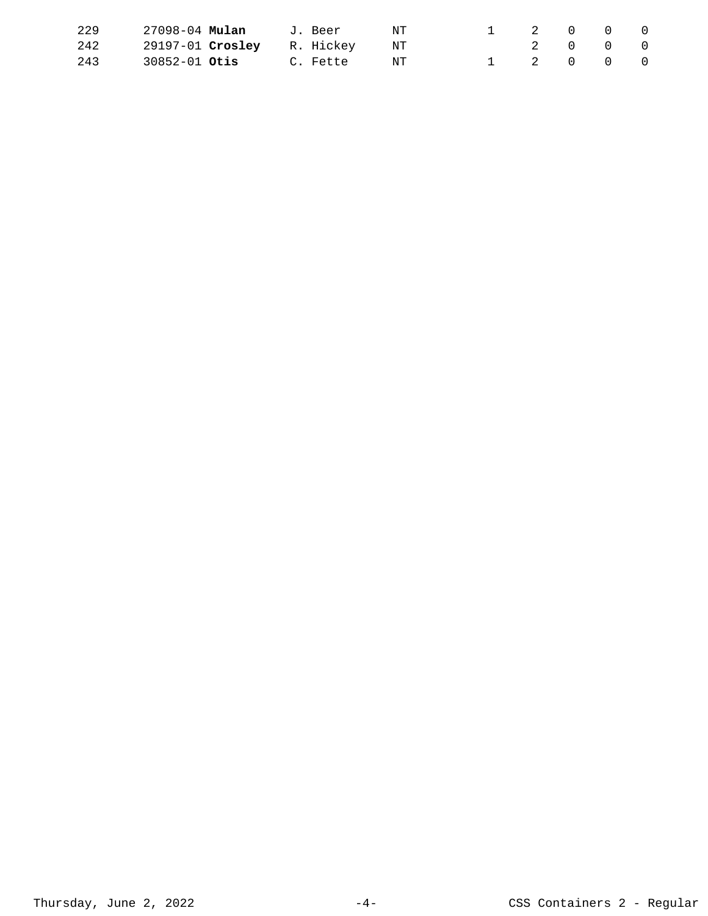| 229 | 27098-04 <b>Mulan</b>         | J. Beer     | NT |  | 1 2 0 0 0 |  |
|-----|-------------------------------|-------------|----|--|-----------|--|
| 242 | 29197-01 Crosley R. Hickey NT |             |    |  | 2 0 0 0   |  |
| 243 | 30852-01 <b>Otis</b>          | C. Fette NT |    |  | 1 2 0 0 0 |  |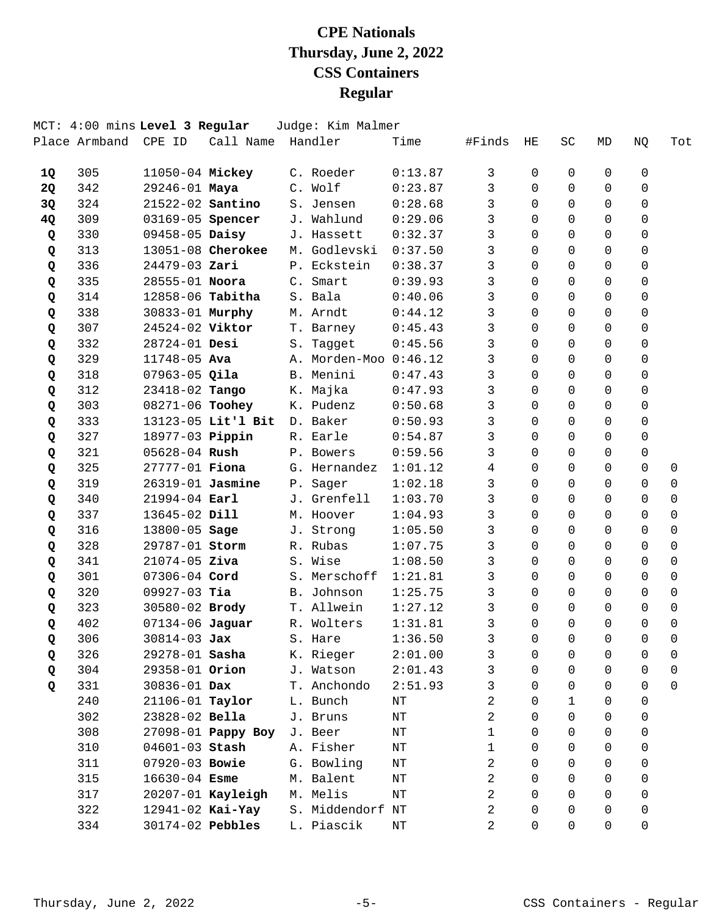|    |               | MCT: 4:00 mins Level 3 Regular |                    |            | Judge: Kim Malmer |         |        |          |          |          |             |             |
|----|---------------|--------------------------------|--------------------|------------|-------------------|---------|--------|----------|----------|----------|-------------|-------------|
|    | Place Armband | CPE ID                         | Call Name          |            | Handler           | Time    | #Finds | ΗE       | SC       | MD       | NQ          | Tot         |
| 1Q | 305           | 11050-04 Mickey                |                    |            | C. Roeder         | 0:13.87 | 3      | 0        | 0        | 0        | 0           |             |
| 2Q | 342           | 29246-01 Maya                  |                    |            | C. Wolf           | 0:23.87 | 3      | $\Omega$ | $\Omega$ | $\Omega$ | 0           |             |
| 3Q | 324           | 21522-02 Santino               |                    |            | S. Jensen         | 0:28.68 | 3      | 0        | $\Omega$ | $\Omega$ | $\mathbf 0$ |             |
| 4Q | 309           | 03169-05 Spencer               |                    |            | J. Wahlund        | 0:29.06 | 3      | $\Omega$ | $\Omega$ | $\Omega$ | $\mathbf 0$ |             |
| Q  | 330           | 09458-05 Daisy                 |                    |            | J. Hassett        | 0:32.37 | 3      | $\Omega$ | $\Omega$ | $\Omega$ | 0           |             |
| Q  | 313           |                                | 13051-08 Cherokee  | М.         | Godlevski         | 0:37.50 | 3      | $\Omega$ | $\Omega$ | $\Omega$ | $\Omega$    |             |
| Q  | 336           | 24479-03 Zari                  |                    |            | P. Eckstein       | 0:38.37 | 3      | 0        | $\Omega$ | $\Omega$ | $\mathbf 0$ |             |
| Q  | 335           | 28555-01 Noora                 |                    |            | C. Smart          | 0:39.93 | 3      | $\Omega$ | $\Omega$ | $\Omega$ | 0           |             |
| Q  | 314           | 12858-06 Tabitha               |                    |            | S. Bala           | 0:40.06 | 3      | $\Omega$ | $\Omega$ | $\Omega$ | 0           |             |
| Q  | 338           | 30833-01 Murphy                |                    |            | M. Arndt          | 0:44.12 | 3      | $\Omega$ | $\Omega$ | $\Omega$ | 0           |             |
| Q  | 307           | 24524-02 Viktor                |                    |            | T. Barney         | 0:45.43 | 3      | $\Omega$ | $\Omega$ | $\Omega$ | $\mathbf 0$ |             |
| Q  | 332           | 28724-01 Desi                  |                    |            | S. Tagget         | 0:45.56 | 3      | $\Omega$ | $\Omega$ | $\Omega$ | $\mathbf 0$ |             |
| Q  | 329           | 11748-05 Ava                   |                    | Α.         | Morden-Moo        | 0:46.12 | 3      | $\Omega$ | $\Omega$ | $\Omega$ | $\Omega$    |             |
| Q  | 318           | $07963 - 05$ Qila              |                    | <b>B</b> . | Menini            | 0:47.43 | 3      | $\Omega$ | $\Omega$ | $\Omega$ | $\Omega$    |             |
| Q  | 312           | 23418-02 Tango                 |                    |            | K. Majka          | 0:47.93 | 3      | $\Omega$ | $\Omega$ | $\Omega$ | $\mathbf 0$ |             |
| Q  | 303           | 08271-06 Toohey                |                    |            | K. Pudenz         | 0:50.68 | 3      | $\Omega$ | $\Omega$ | $\Omega$ | $\mathbf 0$ |             |
| Q  | 333           |                                | 13123-05 Lit'l Bit |            | D. Baker          | 0:50.93 | 3      | $\Omega$ | $\Omega$ | $\Omega$ | $\Omega$    |             |
| Q  | 327           | 18977-03 Pippin                |                    |            | R. Earle          | 0:54.87 | 3      | 0        | $\Omega$ | 0        | 0           |             |
| Q  | 321           | 05628-04 Rush                  |                    |            | P. Bowers         | 0:59.56 | 3      | $\Omega$ | $\Omega$ | $\Omega$ | $\mathbf 0$ |             |
| Q  | 325           | 27777-01 Fiona                 |                    |            | G. Hernandez      | 1:01.12 | 4      | $\Omega$ | $\Omega$ | $\Omega$ | $\Omega$    | 0           |
| Q  | 319           | 26319-01 Jasmine               |                    |            | P. Sager          | 1:02.18 | 3      | $\Omega$ | 0        | $\Omega$ | 0           | $\Omega$    |
| Q  | 340           | $21994 - 04$ Earl              |                    |            | J. Grenfell       | 1:03.70 | 3      | $\Omega$ | $\Omega$ | $\Omega$ | 0           | 0           |
| Q  | 337           | 13645-02 Dill                  |                    |            | M. Hoover         | 1:04.93 | 3      | $\Omega$ | $\Omega$ | $\Omega$ | $\Omega$    | $\Omega$    |
| Q  | 316           | 13800-05 Sage                  |                    |            | J. Strong         | 1:05.50 | 3      | 0        | $\Omega$ | $\Omega$ | 0           | $\mathbf 0$ |
| Q  | 328           | 29787-01 Storm                 |                    |            | R. Rubas          | 1:07.75 | 3      | $\Omega$ | $\Omega$ | $\Omega$ | $\Omega$    | 0           |
| Q  | 341           | $21074 - 05$ Ziva              |                    |            | S. Wise           | 1:08.50 | 3      | 0        | $\Omega$ | 0        | 0           | 0           |
| Q  | 301           | 07306-04 Cord                  |                    | S.         | Merschoff         | 1:21.81 | 3      | $\Omega$ | $\Omega$ | $\Omega$ | $\Omega$    | 0           |
| Q  | 320           | $09927-03$ Tia                 |                    |            | B. Johnson        | 1:25.75 | 3      | 0        | $\Omega$ | $\Omega$ | 0           | $\mathbf 0$ |
| Q  | 323           | 30580-02 Brody                 |                    |            | T. Allwein        | 1:27.12 | 3      | 0        | 0        | $\Omega$ | 0           | 0           |
| Q  | 402           | 07134-06 Jaguar                |                    |            | R. Wolters        | 1:31.81 | 3      | 0        | $\Omega$ | $\Omega$ | $\Omega$    | $\mathbf 0$ |
| Q  | 306           | 30814-03 Jax                   |                    |            | S. Hare           | 1:36.50 | 3      | 0        | 0        | 0        | 0           | 0           |
| Q  | 326           | 29278-01 Sasha                 |                    |            | K. Rieger         | 2:01.00 | 3      | 0        | 0        | 0        | 0           | 0           |
| Q  | 304           | 29358-01 Orion                 |                    |            | J. Watson         | 2:01.43 | 3      | 0        | $\Omega$ | 0        | 0           | 0           |
| Q  | 331           | 30836-01 Dax                   |                    |            | T. Anchondo       | 2:51.93 | 3      | 0        | 0        | 0        | 0           | $\Omega$    |
|    | 240           | 21106-01 Taylor                |                    |            | L. Bunch          | NΤ      | 2      | 0        | 1        | 0        | 0           |             |
|    | 302           | 23828-02 Bella                 |                    |            | J. Bruns          | ΝT      | 2      | 0        | $\Omega$ | 0        | 0           |             |
|    | 308           |                                | 27098-01 Pappy Boy |            | J. Beer           | ΝT      | 1      | 0        | $\Omega$ | 0        | 0           |             |
|    | 310           | 04601-03 Stash                 |                    |            | A. Fisher         | ΝT      | 1      | 0        | 0        | 0        | 0           |             |
|    | 311           | 07920-03 Bowie                 |                    |            | G. Bowling        | ΝT      | 2      | 0        | 0        | 0        | 0           |             |
|    | 315           | $16630 - 04$ Esme              |                    |            | M. Balent         | NΤ      | 2      | 0        | $\Omega$ | 0        | 0           |             |
|    | 317           |                                | 20207-01 Kayleigh  |            | M. Melis          | NΤ      | 2      | 0        | $\Omega$ | 0        | 0           |             |
|    | 322           |                                | 12941-02 Kai-Yay   |            | S. Middendorf NT  |         | 2      | 0        | $\Omega$ | 0        | 0           |             |
|    | 334           |                                | 30174-02 Pebbles   |            | L. Piascik        | ΝT      | 2      | 0        | 0        | 0        | 0           |             |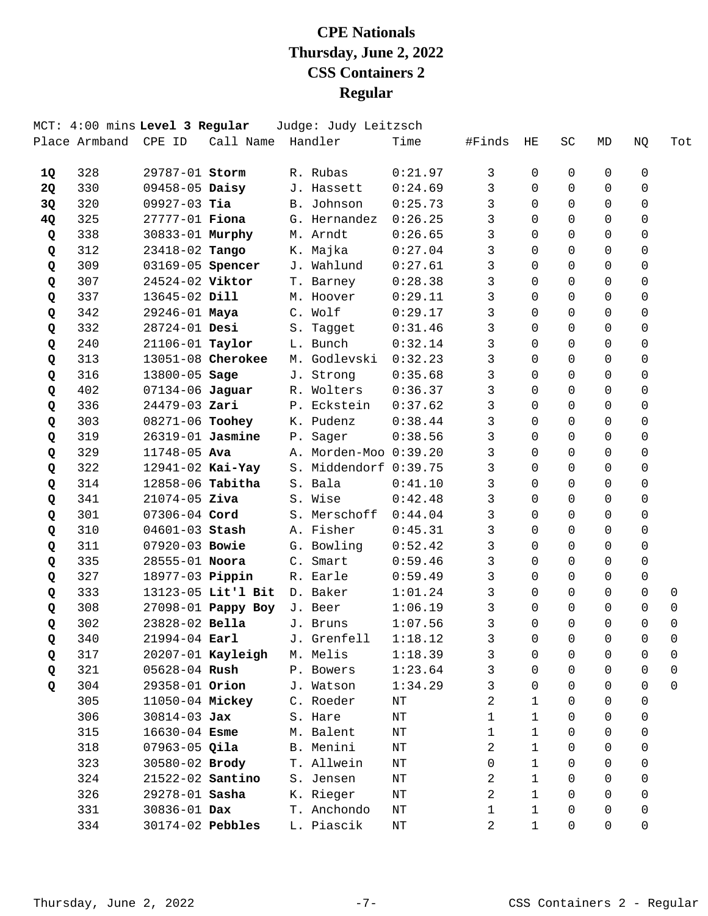|           | MCT: 4:00 mins Level 3 Regular |                       |                    |                | Judge: Judy Leitzsch  |         |              |              |          |          |             |             |
|-----------|--------------------------------|-----------------------|--------------------|----------------|-----------------------|---------|--------------|--------------|----------|----------|-------------|-------------|
|           | Place Armband                  | CPE ID                | Call Name          |                | Handler               | Time    | #Finds       | ΗE           | SC       | MD       | NQ          | Tot         |
| 1Q        | 328                            | 29787-01 Storm        |                    |                | R. Rubas              | 0:21.97 | 3            | 0            | 0        | 0        | 0           |             |
| <b>2Q</b> | 330                            | $09458 - 05$ Daisy    |                    |                | J. Hassett            | 0:24.69 | 3            | $\Omega$     | $\Omega$ | $\Omega$ | 0           |             |
| 3Q        | 320                            | $09927-03$ Tia        |                    |                | B. Johnson            | 0:25.73 | 3            | 0            | $\Omega$ | $\Omega$ | $\mathbf 0$ |             |
| 4Q        | 325                            | 27777-01 <b>Fiona</b> |                    |                | G. Hernandez          | 0:26.25 | 3            | $\Omega$     | $\Omega$ | $\Omega$ | 0           |             |
| Q         | 338                            | 30833-01 Murphy       |                    |                | M. Arndt              | 0:26.65 | 3            | $\Omega$     | $\Omega$ | $\Omega$ | 0           |             |
| Q         | 312                            | 23418-02 Tango        |                    |                | K. Majka              | 0:27.04 | 3            | $\Omega$     | $\Omega$ | $\Omega$ | $\Omega$    |             |
| Q         | 309                            | 03169-05 Spencer      |                    |                | J. Wahlund            | 0:27.61 | 3            | 0            | $\Omega$ | $\Omega$ | $\mathbf 0$ |             |
| Q         | 307                            | 24524-02 Viktor       |                    |                | T. Barney             | 0:28.38 | 3            | $\Omega$     | $\Omega$ | $\Omega$ | 0           |             |
| Q         | 337                            | 13645-02 Dill         |                    | М.             | Hoover                | 0:29.11 | 3            | $\Omega$     | $\Omega$ | $\Omega$ | 0           |             |
| Q         | 342                            | 29246-01 Maya         |                    |                | C. Wolf               | 0:29.17 | 3            | $\Omega$     | $\Omega$ | $\Omega$ | $\Omega$    |             |
| Q         | 332                            | 28724-01 Desi         |                    |                | S. Tagget             | 0:31.46 | 3            | $\Omega$     | $\Omega$ | $\Omega$ | 0           |             |
| Q         | 240                            | 21106-01 Taylor       |                    |                | L. Bunch              | 0:32.14 | 3            | $\Omega$     | $\Omega$ | $\Omega$ | $\mathbf 0$ |             |
| Q         | 313                            |                       | 13051-08 Cherokee  |                | M. Godlevski          | 0:32.23 | 3            | $\Omega$     | $\Omega$ | $\Omega$ | 0           |             |
| Q         | 316                            | 13800-05 Sage         |                    |                | J. Strong             | 0:35.68 | 3            | $\Omega$     | $\Omega$ | $\Omega$ | $\Omega$    |             |
| Q         | 402                            | 07134-06 Jaguar       |                    |                | R. Wolters            | 0:36.37 | 3            | $\Omega$     | $\Omega$ | $\Omega$ | $\mathbf 0$ |             |
| Q         | 336                            | 24479-03 Zari         |                    |                | P. Eckstein           | 0:37.62 | 3            | $\Omega$     | 0        | $\Omega$ | $\mathbf 0$ |             |
| Q         | 303                            | 08271-06 Toohey       |                    |                | K. Pudenz             | 0:38.44 | 3            | $\Omega$     | $\Omega$ | $\Omega$ | 0           |             |
| Q         | 319                            | 26319-01 Jasmine      |                    | $P$ .          | Sager                 | 0:38.56 | 3            | 0            | $\Omega$ | 0        | 0           |             |
| Q         | 329                            | 11748-05 Ava          |                    |                | A. Morden-Moo 0:39.20 |         | 3            | 0            | $\Omega$ | $\Omega$ | 0           |             |
| Q         | 322                            | 12941-02 Kai-Yay      |                    |                | S. Middendorf 0:39.75 |         | 3            | $\Omega$     | $\Omega$ | $\Omega$ | 0           |             |
| Q         | 314                            | 12858-06 Tabitha      |                    |                | S. Bala               | 0:41.10 | 3            | 0            | $\Omega$ | $\Omega$ | 0           |             |
| Q         | 341                            | $21074 - 05$ Ziva     |                    |                | S. Wise               | 0:42.48 | 3            | 0            | $\Omega$ | $\Omega$ | 0           |             |
| Q         | 301                            | 07306-04 Cord         |                    |                | S. Merschoff          | 0:44.04 | 3            | $\Omega$     | $\Omega$ | $\Omega$ | 0           |             |
| Q         | 310                            | 04601-03 Stash        |                    |                | A. Fisher             | 0:45.31 | 3            | 0            | 0        | $\Omega$ | 0           |             |
| Q         | 311                            | 07920-03 Bowie        |                    |                | G. Bowling            | 0:52.42 | 3            | $\Omega$     | $\Omega$ | $\Omega$ | 0           |             |
| Q         | 335                            | 28555-01 Noora        |                    | $\mathsf{C}$ . | Smart                 | 0:59.46 | 3            | 0            | 0        | 0        | 0           |             |
| Q         | 327                            | 18977-03 Pippin       |                    |                | R. Earle              | 0:59.49 | 3            | 0            | $\Omega$ | $\Omega$ | 0           |             |
| Q         | 333                            |                       | 13123-05 Lit'l Bit |                | D. Baker              | 1:01.24 | 3            | 0            | $\Omega$ | $\Omega$ | $\mathbf 0$ | 0           |
| Q         | 308                            |                       | 27098-01 Pappy Boy |                | J. Beer               | 1:06.19 | 3            | 0            | $\Omega$ | $\Omega$ | 0           | 0           |
| Q         | 302                            | 23828-02 Bella        |                    |                | J. Bruns              | 1:07.56 | 3            | 0            | $\Omega$ | 0        | 0           | $\mathbf 0$ |
| Q         | 340                            | 21994-04 Earl         |                    |                | J. Grenfell           | 1:18.12 | 3            | 0            | 0        | 0        | 0           | 0           |
| Q         | 317                            |                       | 20207-01 Kayleigh  |                | M. Melis              | 1:18.39 | 3            | 0            | 0        | 0        | 0           | 0           |
| Q         | 321                            | $05628 - 04$ Rush     |                    |                | P. Bowers             | 1:23.64 | 3            | 0            | 0        | $\Omega$ | 0           | 0           |
| Q         | 304                            | 29358-01 Orion        |                    |                | J. Watson             | 1:34.29 | 3            | 0            | 0        | 0        | 0           | $\Omega$    |
|           | 305                            | 11050-04 Mickey       |                    |                | C. Roeder             | NΤ      | 2            | 1            | 0        | 0        | 0           |             |
|           | 306                            | $30814 - 03$ Jax      |                    |                | S. Hare               | ΝT      | 1            | 1            | $\Omega$ | 0        | 0           |             |
|           | 315                            | $16630 - 04$ Esme     |                    |                | M. Balent             | ΝT      | $\mathbf 1$  | 1            | $\Omega$ | 0        | 0           |             |
|           | 318                            | $07963-05$ Qila       |                    |                | B. Menini             | ΝT      | 2            | 1            | 0        | 0        | 0           |             |
|           | 323                            | 30580-02 Brody        |                    |                | T. Allwein            |         | 0            | 1            | 0        | 0        | 0           |             |
|           |                                |                       |                    |                |                       | ΝT      |              | $\mathbf{1}$ | $\Omega$ | 0        |             |             |
|           | 324                            | 21522-02 Santino      |                    |                | S. Jensen             | NΤ      | 2            |              |          |          | 0           |             |
|           | 326                            | 29278-01 Sasha        |                    |                | K. Rieger             | ΝT      | 2            | 1            | 0        | 0        | 0           |             |
|           | 331                            | 30836-01 Dax          |                    |                | T. Anchondo           | ΝT      | $\mathbf{1}$ | $\mathbf{1}$ | 0        | 0        | 0           |             |
|           | 334                            |                       | 30174-02 Pebbles   |                | L. Piascik            | ΝT      | 2            | 1            | 0        | 0        | 0           |             |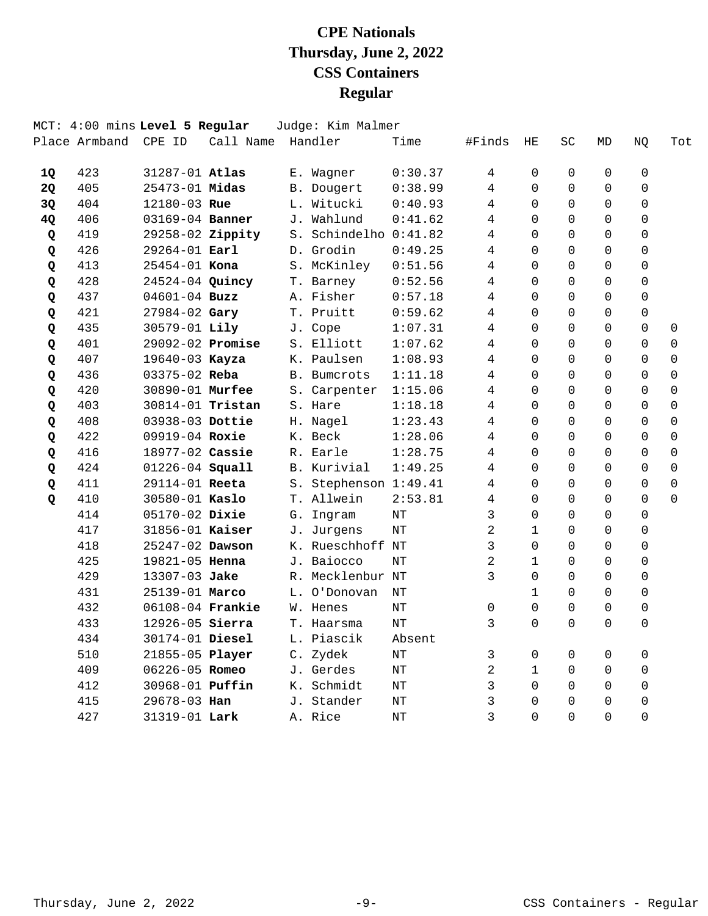|    | Place Armband | MCT: 4:00 mins Level 5 Regular<br>CPE ID | Call Name |    | Judge: Kim Malmer<br>Handler | Time      | #Finds | ΗE       | <b>SC</b> | MD          | NQ          | Tot      |
|----|---------------|------------------------------------------|-----------|----|------------------------------|-----------|--------|----------|-----------|-------------|-------------|----------|
| 1Q | 423           | 31287-01 Atlas                           |           |    | E. Wagner                    | 0:30.37   | 4      | 0        | 0         | 0           | 0           |          |
| 2Q | 405           | 25473-01 Midas                           |           |    | B. Dougert                   | 0:38.99   | 4      | $\Omega$ | $\Omega$  | $\Omega$    | 0           |          |
| 3Q | 404           | 12180-03 Rue                             |           |    | L. Witucki                   | 0:40.93   | 4      | $\Omega$ | $\Omega$  | $\mathbf 0$ | $\mathbf 0$ |          |
| 4Q | 406           | 03169-04 Banner                          |           |    | J. Wahlund                   | 0:41.62   | 4      | $\Omega$ | 0         | $\Omega$    | $\mathbf 0$ |          |
| Q  | 419           | 29258-02 Zippity                         |           |    | S. Schindelho                | 0:41.82   | 4      | $\Omega$ | $\Omega$  | $\Omega$    | $\Omega$    |          |
| Q  | 426           | $29264 - 01$ Earl                        |           |    | D. Grodin                    | 0:49.25   | 4      | $\Omega$ | $\Omega$  | $\Omega$    | $\Omega$    |          |
| Q  | 413           | $25454 - 01$ Kona                        |           |    | S. McKinley                  | 0:51.56   | 4      | $\Omega$ | $\Omega$  | $\Omega$    | 0           |          |
| Q  | 428           | 24524-04 Quincy                          |           |    | T. Barney                    | 0:52.56   | 4      | $\Omega$ | 0         | $\Omega$    | $\mathbf 0$ |          |
| Q  | 437           | $04601 - 04$ Buzz                        |           |    | A. Fisher                    | 0:57.18   | 4      | 0        | $\Omega$  | $\Omega$    | 0           |          |
| Q  | 421           | 27984-02 Gary                            |           |    | T. Pruitt                    | 0:59.62   | 4      | $\Omega$ | 0         | $\Omega$    | 0           |          |
| Q  | 435           | 30579-01 Lily                            |           |    | J. Cope                      | 1:07.31   | 4      | $\Omega$ | $\Omega$  | $\Omega$    | $\Omega$    | 0        |
| Q  | 401           | 29092-02 Promise                         |           |    | S. Elliott                   | 1:07.62   | 4      | $\Omega$ | $\Omega$  | $\Omega$    | $\Omega$    | 0        |
| Q  | 407           | 19640-03 Kayza                           |           |    | K. Paulsen                   | 1:08.93   | 4      | $\Omega$ | $\Omega$  | $\Omega$    | $\Omega$    | $\Omega$ |
| Q  | 436           | $03375 - 02$ Reba                        |           |    | <b>B.</b> Bumcrots           | 1:11.18   | 4      | $\Omega$ | 0         | $\Omega$    | $\Omega$    | 0        |
| Q  | 420           | 30890-01 Murfee                          |           |    | S. Carpenter                 | 1:15.06   | 4      | $\Omega$ | $\Omega$  | $\Omega$    | $\Omega$    | 0        |
| Q  | 403           | 30814-01 Tristan                         |           |    | S. Hare                      | 1:18.18   | 4      | $\Omega$ | $\Omega$  | $\Omega$    | $\Omega$    | 0        |
| Q  | 408           | 03938-03 Dottie                          |           |    | H. Nagel                     | 1:23.43   | 4      | 0        | 0         | $\Omega$    | $\Omega$    | 0        |
| Q  | 422           | 09919-04 Roxie                           |           | К. | Beck                         | 1:28.06   | 4      | $\Omega$ | 0         | $\Omega$    | $\Omega$    | 0        |
| Q  | 416           | 18977-02 Cassie                          |           | R. | Earle                        | 1:28.75   | 4      | $\Omega$ | 0         | $\Omega$    | $\Omega$    | 0        |
| Q  | 424           | 01226-04 Squall                          |           |    | B. Kurivial                  | 1:49.25   | 4      | $\Omega$ | $\Omega$  | $\Omega$    | $\Omega$    | 0        |
| Q  | 411           | 29114-01 Reeta                           |           | S. | Stephenson 1:49.41           |           | 4      | 0        | 0         | $\Omega$    | 0           | $\Omega$ |
| Q  | 410           | 30580-01 Kaslo                           |           | Т. | Allwein                      | 2:53.81   | 4      | $\Omega$ | 0         | $\Omega$    | $\Omega$    | $\Omega$ |
|    | 414           | 05170-02 Dixie                           |           | G. | Ingram                       | NT        | 3      | $\Omega$ | 0         | $\Omega$    | $\Omega$    |          |
|    | 417           | 31856-01 Kaiser                          |           |    | J. Jurgens                   | NT        | 2      | 1        | $\Omega$  | $\mathbf 0$ | 0           |          |
|    | 418           | 25247-02 Dawson                          |           |    | K. Rueschhoff NT             |           | 3      | $\Omega$ | 0         | $\Omega$    | 0           |          |
|    | 425           | 19821-05 Henna                           |           |    | J. Baiocco                   | NT        | 2      | 1        | 0         | $\Omega$    | 0           |          |
|    | 429           | 13307-03 Jake                            |           | R. | Mecklenbur NT                |           | 3      | $\Omega$ | $\Omega$  | $\Omega$    | 0           |          |
|    | 431           | 25139-01 Marco                           |           |    | L. O'Donovan                 | NΤ        |        | 1        | 0         | $\mathbf 0$ | $\mathbf 0$ |          |
|    | 432           | 06108-04 Frankie                         |           |    | W. Henes                     | NT        | 0      | $\Omega$ | 0         | $\mathbf 0$ | 0           |          |
|    | 433           | 12926-05 Sierra                          |           |    | T. Haarsma                   | NΤ        | 3      | $\Omega$ | 0         | $\Omega$    | 0           |          |
|    | 434           | 30174-01 Diesel                          |           |    | L. Piascik                   | Absent    |        |          |           |             |             |          |
|    | 510           | 21855-05 Player                          |           |    | C. Zydek                     | NΤ        | 3      | 0        | 0         | 0           | 0           |          |
|    | 409           | 06226-05 Romeo                           |           |    | J. Gerdes                    | ΝT        | 2      | 1        | 0         | 0           | 0           |          |
|    | 412           | 30968-01 Puffin                          |           |    | K. Schmidt                   | $\rm{NT}$ | 3      | $\Omega$ | 0         | $\Omega$    | 0           |          |
|    | 415           | 29678-03 Han                             |           |    | J. Stander                   | ΝT        | 3      | 0        | 0         | 0           | 0           |          |
|    | 427           | 31319-01 Lark                            |           |    | A. Rice                      | $\rm{NT}$ | 3      | 0        | 0         | $\Omega$    | $\mathbf 0$ |          |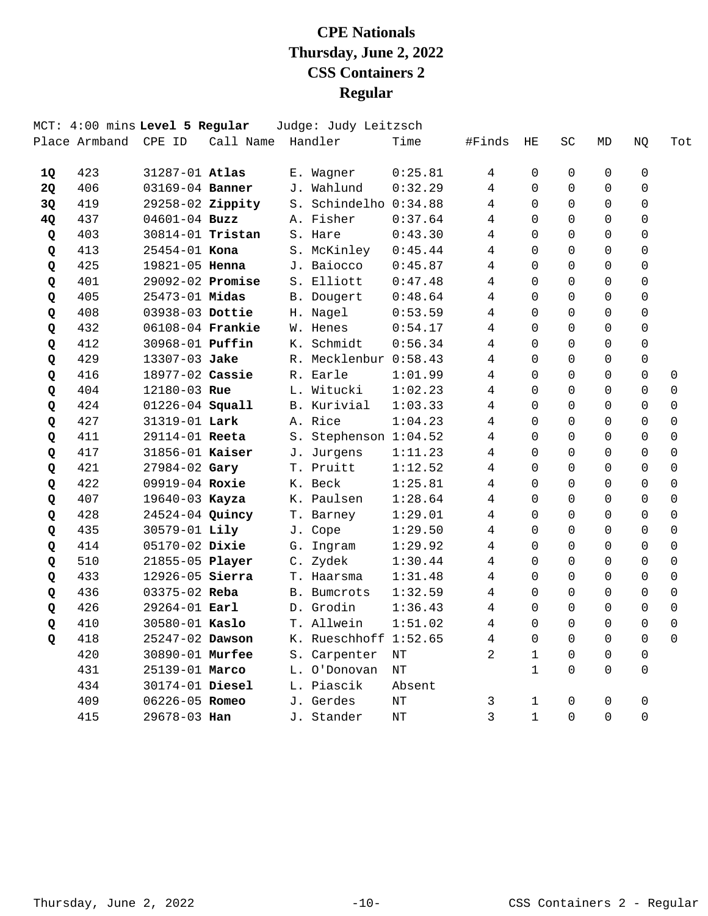|           | Place Armband | MCT: 4:00 mins Level 5 Regular<br>CPE ID | Call Name |    | Judge: Judy Leitzsch<br>Handler | Time      | #Finds         | HE          | SC          | MD       | ΝQ          | Tot            |
|-----------|---------------|------------------------------------------|-----------|----|---------------------------------|-----------|----------------|-------------|-------------|----------|-------------|----------------|
| 1Q        | 423           | 31287-01 Atlas                           |           |    | E. Wagner                       | 0:25.81   | 4              | 0           | 0           | 0        | 0           |                |
| <b>2Q</b> | 406           | 03169-04 Banner                          |           |    | J. Wahlund                      | 0:32.29   | 4              | $\Omega$    | $\Omega$    | $\Omega$ | $\Omega$    |                |
| 3Q        | 419           | 29258-02 Zippity                         |           |    | S. Schindelho 0:34.88           |           | 4              | $\Omega$    | $\Omega$    | 0        | $\mathbf 0$ |                |
| 4Q        | 437           | $04601 - 04$ Buzz                        |           |    | A. Fisher                       | 0:37.64   | 4              | $\Omega$    | $\Omega$    | $\Omega$ | $\Omega$    |                |
| Q         | 403           | 30814-01 Tristan                         |           |    | S. Hare                         | 0:43.30   | 4              | $\Omega$    | $\Omega$    | $\Omega$ | $\Omega$    |                |
| Q         | 413           | $25454 - 01$ Kona                        |           |    | S. McKinley                     | 0:45.44   | 4              | $\Omega$    | $\Omega$    | $\Omega$ | $\Omega$    |                |
| Q         | 425           | 19821-05 Henna                           |           |    | J. Baiocco                      | 0:45.87   | 4              | $\Omega$    | $\Omega$    | $\Omega$ | $\mathbf 0$ |                |
| Q         | 401           | 29092-02 Promise                         |           |    | S. Elliott                      | 0:47.48   | 4              | $\Omega$    | $\Omega$    | $\Omega$ | $\mathbf 0$ |                |
| Q         | 405           | 25473-01 Midas                           |           |    | B. Dougert                      | 0:48.64   | 4              | $\Omega$    | $\Omega$    | $\Omega$ | $\Omega$    |                |
| Q         | 408           | 03938-03 Dottie                          |           |    | H. Nagel                        | 0:53.59   | 4              | $\Omega$    | $\Omega$    | $\Omega$ | $\Omega$    |                |
| Q         | 432           | 06108-04 Frankie                         |           |    | W. Henes                        | 0:54.17   | 4              | $\Omega$    | $\Omega$    | $\Omega$ | $\mathbf 0$ |                |
| Q         | 412           | 30968-01 <b>Puffin</b>                   |           |    | K. Schmidt                      | 0:56.34   | $\overline{4}$ | $\Omega$    | $\Omega$    | $\Omega$ | $\Omega$    |                |
| Q         | 429           | 13307-03 Jake                            |           |    | R. Mecklenbur 0:58.43           |           | 4              | $\Omega$    | $\Omega$    | $\Omega$ | $\mathbf 0$ |                |
| Q         | 416           | 18977-02 Cassie                          |           |    | R. Earle                        | 1:01.99   | 4              | $\Omega$    | $\Omega$    | $\Omega$ | $\Omega$    | 0              |
| Q         | 404           | 12180-03 Rue                             |           |    | L. Witucki                      | 1:02.23   | 4              | $\Omega$    | $\Omega$    | $\Omega$ | $\Omega$    | $\overline{0}$ |
| Q         | 424           | 01226-04 Squall                          |           |    | B. Kurivial                     | 1:03.33   | 4              | $\Omega$    | $\Omega$    | $\Omega$ | $\Omega$    | $\mathbf 0$    |
| Q         | 427           | 31319-01 Lark                            |           |    | A. Rice                         | 1:04.23   | 4              | $\Omega$    | $\Omega$    | $\Omega$ | $\Omega$    | $\Omega$       |
| Q         | 411           | 29114-01 Reeta                           |           |    | S. Stephenson 1:04.52           |           | 4              | 0           | $\Omega$    | 0        | 0           | 0              |
| Q         | 417           | 31856-01 Kaiser                          |           |    | J. Jurgens                      | 1:11.23   | 4              | $\Omega$    | $\Omega$    | $\Omega$ | $\Omega$    | $\Omega$       |
| Q         | 421           | 27984-02 Gary                            |           |    | T. Pruitt                       | 1:12.52   | 4              | $\Omega$    | $\Omega$    | $\Omega$ | $\Omega$    | $\mathbf 0$    |
| Q         | 422           | 09919-04 Roxie                           |           |    | K. Beck                         | 1:25.81   | 4              | $\Omega$    | $\Omega$    | $\Omega$ | $\Omega$    | $\Omega$       |
| Q         | 407           | 19640-03 Kayza                           |           |    | K. Paulsen                      | 1:28.64   | 4              | $\Omega$    | $\Omega$    | $\Omega$ | 0           | 0              |
| Q         | 428           | 24524-04 Quincy                          |           |    | T. Barney                       | 1:29.01   | 4              | $\Omega$    | $\Omega$    | $\Omega$ | $\Omega$    | $\Omega$       |
| Q         | 435           | 30579-01 Lily                            |           |    | J. Cope                         | 1:29.50   | 4              | 0           | $\Omega$    | $\Omega$ | $\Omega$    | $\mathbf 0$    |
| Q         | 414           | 05170-02 Dixie                           |           | G. | Ingram                          | 1:29.92   | 4              | $\Omega$    | $\Omega$    | $\Omega$ | $\Omega$    | 0              |
| Q         | 510           | 21855-05 Player                          |           |    | C. Zydek                        | 1:30.44   | 4              | $\Omega$    | $\Omega$    | 0        | $\Omega$    | 0              |
| Q         | 433           | 12926-05 Sierra                          |           |    | T. Haarsma                      | 1:31.48   | 4              | $\Omega$    | $\Omega$    | $\Omega$ | $\Omega$    | 0              |
| Q         | 436           | 03375-02 Reba                            |           |    | B. Bumcrots                     | 1:32.59   | 4              | 0           | $\Omega$    | $\Omega$ | $\Omega$    | $\mathbf 0$    |
| Q         | 426           | 29264-01 Earl                            |           |    | D. Grodin                       | 1:36.43   | 4              | $\Omega$    | $\Omega$    | $\Omega$ | 0           | 0              |
| Q         | 410           | 30580-01 Kaslo                           |           |    | T. Allwein                      | 1:51.02   | 4              | $\Omega$    | $\Omega$    | $\Omega$ | $\Omega$    | $\mathbf 0$    |
| Q         | 418           | 25247-02 Dawson                          |           |    | K. Rueschhoff 1:52.65           |           | 4              | 0           | 0           | 0        | 0           | 0              |
|           | 420           | 30890-01 Murfee                          |           |    | S. Carpenter                    | NΤ        | 2              | 1           | 0           | 0        | 0           |                |
|           | 431           | 25139-01 Marco                           |           |    | L. O'Donovan                    | ΝT        |                | 1           | $\Omega$    | $\Omega$ | 0           |                |
|           | 434           | 30174-01 Diesel                          |           |    | L. Piascik                      | Absent    |                |             |             |          |             |                |
|           | 409           | 06226-05 Romeo                           |           |    | J. Gerdes                       | $\rm{NT}$ | 3              | 1           | 0           | 0        | 0           |                |
|           | 415           | 29678-03 Han                             |           |    | J. Stander                      | ΝT        | 3              | $\mathbf 1$ | $\mathbf 0$ | 0        | $\mathbf 0$ |                |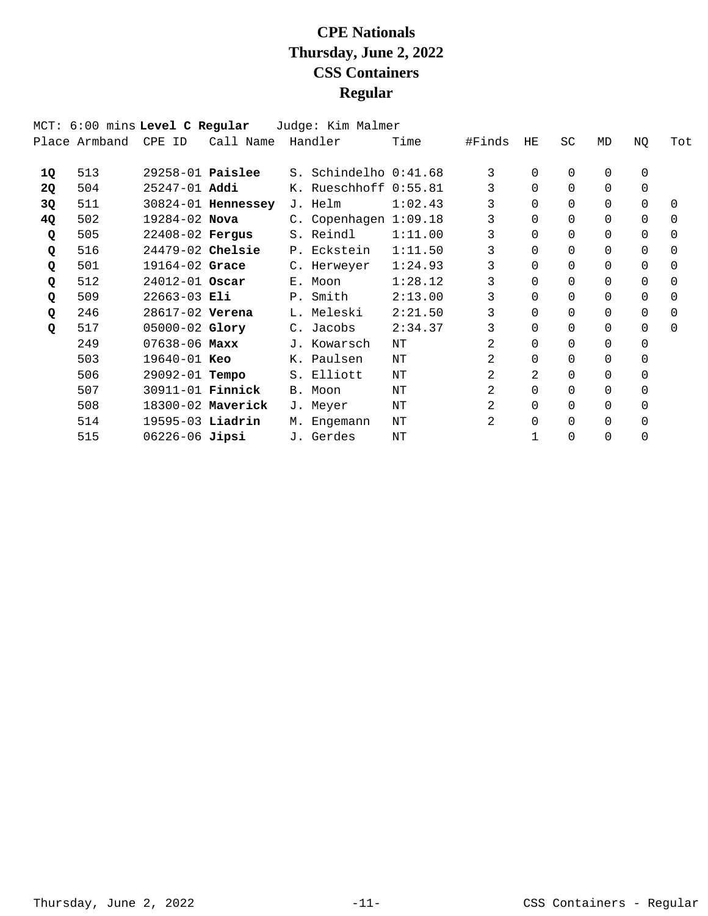|           | MCT: 6:00 mins Level C Regular |                         |                    | Judge: Kim Malmer       |         |        |          |           |          |             |          |
|-----------|--------------------------------|-------------------------|--------------------|-------------------------|---------|--------|----------|-----------|----------|-------------|----------|
|           | Place Armband                  | CPE ID                  | Call Name          | Handler                 | Time    | #Finds | HE       | <b>SC</b> | MD       | ΝQ          | Tot      |
| 10.       | 513                            |                         | $29258-01$ Paislee | S. Schindelho 0:41.68   |         | 3      | $\Omega$ | 0         | 0        | $\mathbf 0$ |          |
| <b>2Q</b> | 504                            | 25247-01 Addi           |                    | K. Rueschhoff 0:55.81   |         |        | $\Omega$ | $\Omega$  | 0        | $\Omega$    |          |
| 3Q        | 511                            |                         | 30824-01 Hennessey | J. Helm                 | 1:02.43 | 3      | $\Omega$ | 0         | $\Omega$ | $\Omega$    | $\Omega$ |
| 4Q        | 502                            | $19284 - 02$ Nova       |                    | C. Copenhagen $1:09.18$ |         | 3      | $\Omega$ | $\Omega$  | 0        | $\Omega$    | $\Omega$ |
| Q         | 505                            | $22408 - 02$ Fergus     |                    | S. Reindl               | 1:11.00 | 3      | $\Omega$ | 0         | $\Omega$ | $\Omega$    | $\Omega$ |
| Q         | 516                            | $24479-02$ Chelsie      |                    | P. Eckstein             | 1:11.50 | 3      | $\Omega$ | $\Omega$  | 0        | 0           | 0        |
| Q         | 501                            | 19164-02 Grace          |                    | C. Herweyer             | 1:24.93 | 3      | $\Omega$ | $\Omega$  | $\Omega$ | $\Omega$    | $\Omega$ |
| Q         | 512                            | $24012 - 01$ Oscar      |                    | E. Moon                 | 1:28.12 | 3      | $\Omega$ | $\Omega$  | $\Omega$ | $\Omega$    | $\Omega$ |
| Q         | 509                            | $22663 - 03$ Eli        |                    | P. Smith                | 2:13.00 | 3      | $\Omega$ | $\Omega$  | $\Omega$ | $\Omega$    | $\Omega$ |
| Q         | 246                            | 28617-02 Verena         |                    | L. Meleski              | 2:21.50 | 3      | $\Omega$ | 0         | 0        | $\Omega$    | $\Omega$ |
| Q         | 517                            | $05000 - 02$ Glory      |                    | C. Jacobs               | 2:34.37 | 3      | $\Omega$ | $\Omega$  | 0        | 0           | $\Omega$ |
|           | 249                            | $07638 - 06$ Maxx       |                    | J. Kowarsch             | ΝT      | 2      | $\Omega$ | 0         | 0        | 0           |          |
|           | 503                            | $19640 - 01$ Keo        |                    | K. Paulsen              | NΤ      | 2      | $\Omega$ | 0         | 0        | $\Omega$    |          |
|           | 506                            | 29092-01 <b>Tempo</b>   |                    | S. Elliott              | ΝT      | 2.     | 2.       | 0         | $\Omega$ | 0           |          |
|           | 507                            | 30911-01 <b>Finnick</b> |                    | B. Moon                 | ΝT      | 2      | $\Omega$ | 0         | 0        | 0           |          |
|           | 508                            |                         | 18300-02 Maverick  | J. Meyer                | ΝT      | 2      | $\Omega$ | 0         | 0        | 0           |          |
|           | 514                            | $19595-03$ Liadrin      |                    | M. Engemann             | ΝT      | 2      | $\Omega$ | $\Omega$  | 0        | 0           |          |
|           | 515                            | $06226 - 06$ Jipsi      |                    | J. Gerdes               | NΤ      |        |          | 0         | 0        | $\Omega$    |          |
|           |                                |                         |                    |                         |         |        |          |           |          |             |          |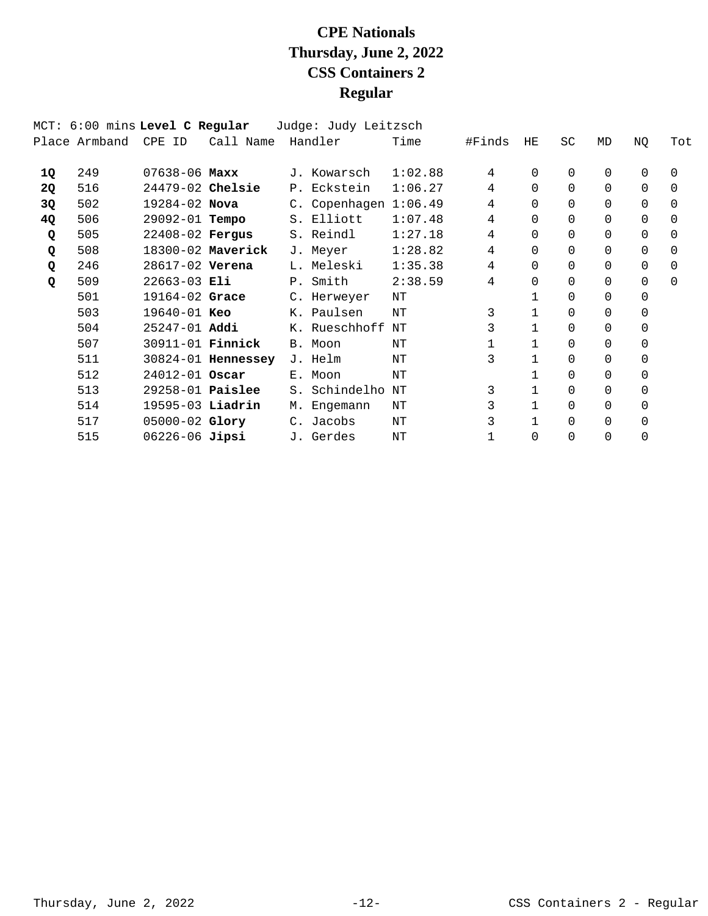|    | MCT: 6:00 mins Level C Regular |                         |                    | Judge: Judy Leitzsch    |         |        |              |           |          |          |          |
|----|--------------------------------|-------------------------|--------------------|-------------------------|---------|--------|--------------|-----------|----------|----------|----------|
|    | Place Armband                  | CPE ID                  | Call Name          | Handler                 | Time    | #Finds | HE           | <b>SC</b> | MD       | NQ       | Tot      |
| 10 | 249                            | $07638 - 06$ Maxx       |                    | J. Kowarsch             | 1:02.88 | 4      | $\Omega$     | $\Omega$  | 0        | 0        | $\Omega$ |
| 2Q | 516                            | $24479-02$ Chelsie      |                    | P. Eckstein             | 1:06.27 | 4      | $\Omega$     | 0         | $\Omega$ | 0        | 0        |
| 3Q | 502                            | 19284-02 Nova           |                    | C. Copenhagen $1:06.49$ |         | 4      | $\Omega$     | 0         | $\Omega$ | 0        | $\Omega$ |
| 4Q | 506                            | 29092-01 <b>Tempo</b>   |                    | S. Elliott              | 1:07.48 | 4      | $\Omega$     | 0         | 0        | $\Omega$ | $\Omega$ |
| Q  | 505                            | 22408-02 Fergus         |                    | S. Reindl               | 1:27.18 | 4      | $\Omega$     | 0         | $\Omega$ | $\Omega$ | $\Omega$ |
| Q  | 508                            |                         | 18300-02 Maverick  | J. Meyer                | 1:28.82 | 4      | $\Omega$     | 0         | 0        | 0        | 0        |
| Q  | 246                            | 28617-02 Verena         |                    | L. Meleski              | 1:35.38 | 4      | $\Omega$     | 0         | 0        | $\Omega$ | $\Omega$ |
| Q  | 509                            | $22663 - 03$ Eli        |                    | P. Smith                | 2:38.59 | 4      | $\Omega$     | 0         | 0        | $\Omega$ | $\Omega$ |
|    | 501                            | $19164 - 02$ Grace      |                    | C. Herweyer             | NΤ      |        |              | 0         | 0        | $\Omega$ |          |
|    | 503                            | $19640 - 01$ Keo        |                    | K. Paulsen              | NΤ      | 3      |              | 0         | 0        | $\Omega$ |          |
|    | 504                            | $25247 - 01$ Addi       |                    | K. Rueschhoff           | NΤ      | 3      | $\mathbf{1}$ | 0         | 0        | 0        |          |
|    | 507                            | 30911-01 <b>Finnick</b> |                    | B. Moon                 | NΤ      |        |              | 0         | 0        | 0        |          |
|    | 511                            |                         | 30824-01 Hennessey | J. Helm                 | ΝT      | 3      | $\mathbf{1}$ | 0         | 0        | $\Omega$ |          |
|    | 512                            | $24012 - 01$ Oscar      |                    | E. Moon                 | NΤ      |        |              | 0         | 0        | 0        |          |
|    | 513                            | $29258-01$ Paislee      |                    | S. Schindelho           | ΝT      | 3      |              | 0         | 0        | $\Omega$ |          |
|    | 514                            | 19595-03 Liadrin        |                    | M. Engemann             | ΝT      |        | $\mathbf 1$  | 0         | 0        | $\Omega$ |          |
|    | 517                            | 05000-02 Glory          |                    | C. Jacobs               | NΤ      | 3      |              | 0         | 0        | 0        |          |
|    | 515                            | $06226 - 06$ Jipsi      |                    | J. Gerdes               | NΤ      |        | $\Omega$     | 0         | 0        | $\Omega$ |          |
|    |                                |                         |                    |                         |         |        |              |           |          |          |          |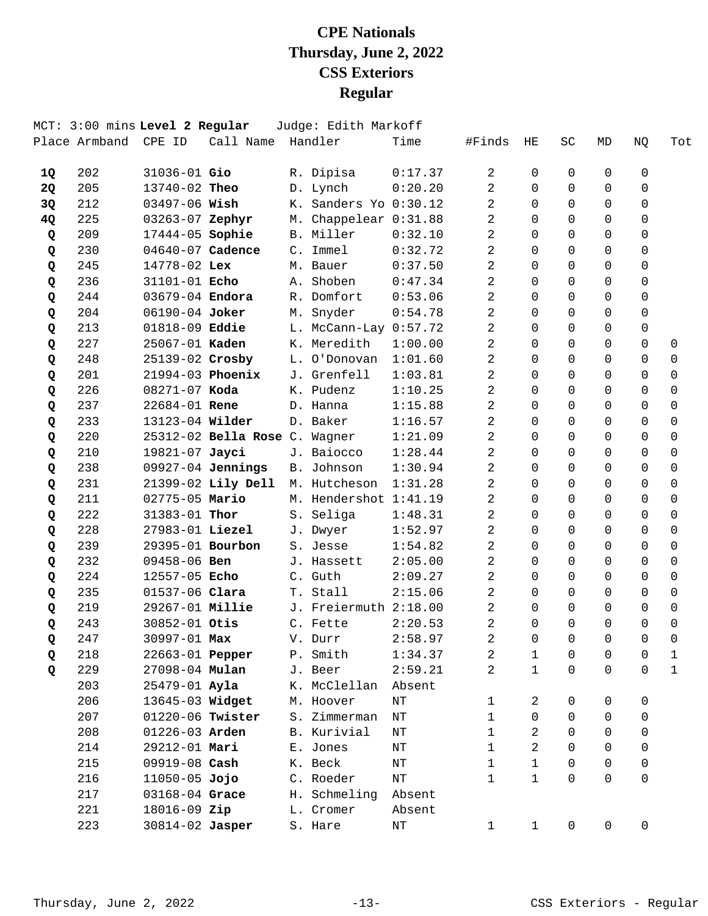|           |                      | MCT: 3:00 mins Level 2 Regular |                               | Judge: Edith Markoff      |           |                |                |                |                     |             |                |
|-----------|----------------------|--------------------------------|-------------------------------|---------------------------|-----------|----------------|----------------|----------------|---------------------|-------------|----------------|
|           | Place Armband CPE ID |                                | Call Name Handler             |                           | Time      | #Finds         | HE             | <b>SC</b>      | MD                  | NQ          | Tot            |
| 1Q        | 202                  | $31036 - 01$ Gio               |                               | R. Dipisa                 | 0:17.37   | 2              | 0              | 0              | $\Omega$            | 0           |                |
| <b>2Q</b> | 205                  | 13740-02 Theo                  |                               | D. Lynch                  | 0:20.20   | 2              | $\Omega$       | $\Omega$       | $\Omega$            | $\Omega$    |                |
| 3Q        | 212                  | 03497-06 Wish                  |                               | K. Sanders Yo 0:30.12     |           | 2              | $\Omega$       | $\Omega$       | $\Omega$            | $\Omega$    |                |
| 4Q        | 225                  | 03263-07 Zephyr                |                               | M. Chappelear 0:31.88     |           | 2              | $\Omega$       | $\Omega$       | $\Omega$            | $\mathbf 0$ |                |
| Q         | 209                  | 17444-05 Sophie                |                               | B. Miller                 | 0:32.10   | $\overline{a}$ | $\Omega$       | $\Omega$       | $\Omega$            | $\mathbf 0$ |                |
| Q         | 230                  | 04640-07 Cadence               |                               | C. Immel                  | 0:32.72   | 2              | $\Omega$       | 0              | $\Omega$            | $\mathbf 0$ |                |
| Q         | 245                  | 14778-02 Lex                   |                               | M. Bauer                  | 0:37.50   | 2              | $\Omega$       | $\Omega$       | $\Omega$            | $\Omega$    |                |
| Q         | 236                  | 31101-01 Echo                  |                               | A. Shoben                 | 0:47.34   | $\overline{2}$ | $\Omega$       | $\Omega$       | $\mathbf 0$         | $\mathbf 0$ |                |
| Q         | 244                  | 03679-04 Endora                |                               | R. Domfort                | 0:53.06   | $\overline{2}$ | $\Omega$       | $\Omega$       | $\Omega$            | $\Omega$    |                |
| Q         | 204                  | 06190-04 Joker                 |                               | M. Snyder                 | 0:54.78   | $\overline{a}$ | $\Omega$       | $\Omega$       | $\Omega$            | $\Omega$    |                |
| Q         | 213                  | 01818-09 Eddie                 |                               | $L.$ McCann-Lay $0:57.72$ |           | 2              | $\Omega$       | $\Omega$       | $\Omega$            | $\Omega$    |                |
| Q         | 227                  | 25067-01 Kaden                 |                               | K. Meredith               | 1:00.00   | 2              | $\Omega$       | $\Omega$       | $\Omega$            | $\Omega$    | $\mathbf 0$    |
| Q         | 248                  | 25139-02 Crosby                |                               | L. O'Donovan              | 1:01.60   | 2              | $\Omega$       | $\Omega$       | $\Omega$            | $\Omega$    | $\mathbf 0$    |
| Q         | 201                  | 21994-03 Phoenix               |                               | J. Grenfell               | 1:03.81   | 2              | $\Omega$       | $\Omega$       | $\Omega$            | $\Omega$    | $\Omega$       |
| Q         | 226                  | 08271-07 Koda                  |                               | K. Pudenz                 | 1:10.25   | 2              | $\Omega$       | $\Omega$       | $\Omega$            | $\Omega$    | $\Omega$       |
| Q         | 237                  | 22684-01 Rene                  |                               | D. Hanna                  | 1:15.88   | 2              | $\Omega$       | $\Omega$       | $\Omega$            | $\Omega$    | $\mathbf 0$    |
| Q         | 233                  | 13123-04 Wilder                |                               | D. Baker                  | 1:16.57   | $\overline{a}$ | $\Omega$       | $\Omega$       | $\Omega$            | $\Omega$    | $\mathbf 0$    |
| Q         | 220                  |                                | 25312-02 Bella Rose C. Wagner |                           | 1:21.09   | $\overline{2}$ | $\Omega$       | $\Omega$       | $\Omega$            | $\Omega$    | $\Omega$       |
| Q         | 210                  | 19821-07 Jayci                 |                               | J. Baiocco                | 1:28.44   | 2              | $\Omega$       | $\Omega$       | $\Omega$            | $\Omega$    | 0              |
| Q         | 238                  |                                | 09927-04 Jennings             | B. Johnson                | 1:30.94   | 2              | $\Omega$       | $\Omega$       | $\Omega$            | $\Omega$    | $\mathbf 0$    |
| Q         | 231                  |                                | 21399-02 Lily Dell            | M. Hutcheson              | 1:31.28   | 2              | $\Omega$       | $\Omega$       | $\Omega$            | $\Omega$    | $\mathbf 0$    |
| Q         | 211                  | 02775-05 Mario                 |                               | M. Hendershot 1:41.19     |           | $\overline{a}$ | $\Omega$       | 0              | $\Omega$            | $\Omega$    | $\Omega$       |
| Q         | 222                  | 31383-01 Thor                  |                               | S. Seliga                 | 1:48.31   | 2              | $\Omega$       | 0              | $\Omega$            | $\Omega$    | 0              |
| Q         | 228                  | 27983-01 Liezel                |                               | J. Dwyer                  | 1:52.97   | 2              | $\Omega$       | $\Omega$       | $\Omega$            | $\Omega$    | $\Omega$       |
| Q         | 239                  | 29395-01 Bourbon               |                               | S. Jesse                  | 1:54.82   | 2              | $\Omega$       | $\Omega$       | $\Omega$            | $\Omega$    | $\mathbf 0$    |
| Q         | 232                  | 09458-06 Ben                   |                               | J. Hassett                | 2:05.00   | $\overline{2}$ | $\Omega$       | $\Omega$       | $\Omega$            | $\Omega$    | $\Omega$       |
| Q         | 224                  | 12557-05 Echo                  |                               | C. Guth                   | 2:09.27   | 2              | $\Omega$       | $\Omega$       | $\Omega$            | $\Omega$    | 0              |
| Q         | 235                  | 01537-06 Clara                 |                               | T. Stall                  | 2:15.06   | 2              | $\Omega$       | $\Omega$       | $\Omega$            | $\Omega$    | 0              |
| Q         | 219                  | 29267-01 Millie                |                               | J. Freiermuth 2:18.00     |           | 2              | $\Omega$       | $\Omega$       | $\Omega$            | $\mathbf 0$ | $\mathbf 0$    |
| Q         | 243                  | 30852-01 Otis                  |                               | C. Fette                  | 2:20.53   | $\overline{a}$ | $\Omega$       | $\Omega$       | $\Omega$            | $\Omega$    | $\mathbf 0$    |
| Q         | 247                  | 30997-01 Max                   |                               | V. Durr                   | 2:58.97   | 2              | $\overline{0}$ | $\overline{0}$ | $\overline{0}$      | 0           | $\overline{0}$ |
| Q         | 218                  | 22663-01 Pepper                |                               | P. Smith                  | 1:34.37   | 2              | $\mathbf 1$    | 0              | 0                   | 0           | $\mathbf 1$    |
| Q         | 229                  | 27098-04 Mulan                 |                               | J. Beer                   | 2:59.21   | 2              | $\mathbf{1}$   | 0              | $\mathbf 0$         | $\mathbf 0$ | $\mathbf{1}$   |
|           | 203                  | 25479-01 Ayla                  |                               | K. McClellan              | Absent    |                |                |                |                     |             |                |
|           | 206                  | 13645-03 Widget                |                               | M. Hoover                 | $\rm{NT}$ | 1              | 2              | 0              | 0                   | 0           |                |
|           | 207                  | 01220-06 Twister               |                               | S. Zimmerman              | $\rm{NT}$ | 1              | $\mathbf 0$    | 0              | $\Omega$            | 0           |                |
|           | 208                  | 01226-03 Arden                 |                               | B. Kurivial               | NΤ        | $\mathbf 1$    | 2              | $\Omega$       | $\Omega$            | 0           |                |
|           | 214                  | 29212-01 Mari                  |                               | E. Jones                  | NΤ        | $\mathbf{1}$   | $\overline{a}$ | 0              | $\Omega$            | 0           |                |
|           | 215                  | 09919-08 Cash                  |                               | K. Beck                   | ΝT        | $\mathbf{1}$   | $\mathbf{1}$   | 0              | 0                   | 0           |                |
|           | 216                  | $11050-05$ Jojo                |                               | C. Roeder                 | NΤ        | $\mathbf{1}$   | $\mathbf{1}$   | 0              | 0                   | 0           |                |
|           | 217                  | 03168-04 Grace                 |                               | H. Schmeling              | Absent    |                |                |                |                     |             |                |
|           | 221                  | 18016-09 Zip                   |                               | L. Cromer                 | Absent    |                |                |                |                     |             |                |
|           | 223                  | 30814-02 Jasper                |                               | S. Hare                   | $\rm{NT}$ | $\mathbf{1}$   | $\mathbf{1}$   | 0              | $\mathsf{O}\xspace$ | 0           |                |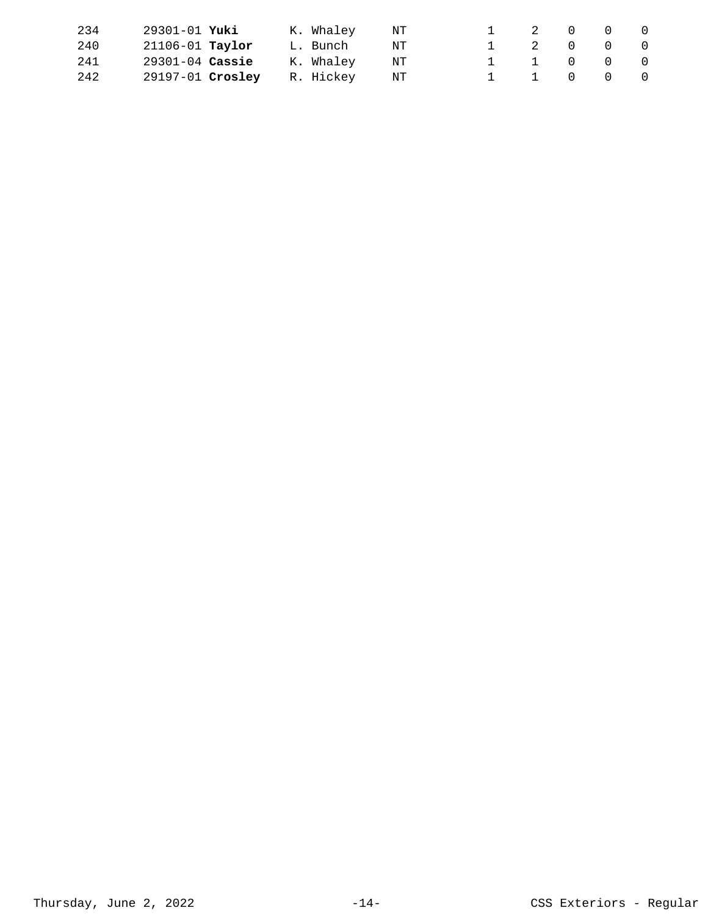| 234 | 29301-01 Yuki       | K. Whaley | NT  |  | 1 2 0 0 0 |  |
|-----|---------------------|-----------|-----|--|-----------|--|
| 240 | $21106 - 01$ Taylor | L. Bunch  | NT. |  | 1 2 0 0 0 |  |
| 241 | $29301 - 04$ Cassie | K. Whaley | NT  |  | 1 1 0 0 0 |  |
| 242 | 29197-01 Crosley    | R. Hickey | NT  |  | 1 1 0 0 0 |  |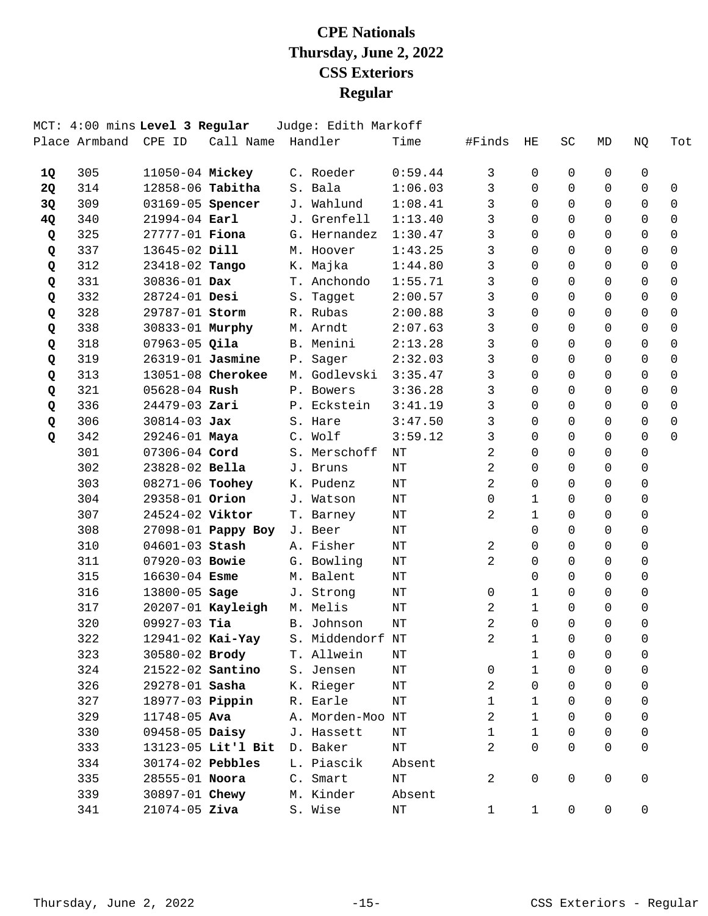|           |     | MCT: 4:00 mins Level 3 Regular |                         | Judge: Edith Markoff              |           |                |              |             |          |              |             |
|-----------|-----|--------------------------------|-------------------------|-----------------------------------|-----------|----------------|--------------|-------------|----------|--------------|-------------|
|           |     | Place Armband CPE ID           | Call Name Handler       |                                   | Time      | #Finds         | ΗE           | SC          | MD       | NQ           | Tot         |
| 1Q        | 305 | 11050-04 Mickey                |                         | C. Roeder                         | 0:59.44   | 3              | $\Omega$     | 0           | 0        | 0            |             |
| <b>2Q</b> | 314 |                                | 12858-06 <b>Tabitha</b> | S. Bala                           | 1:06.03   | 3              | $\Omega$     | $\Omega$    | $\Omega$ | 0            | 0           |
| 3Q        | 309 | 03169-05 Spencer               |                         | J. Wahlund                        | 1:08.41   | 3              | $\Omega$     | $\Omega$    | $\Omega$ | $\mathbf 0$  | $\mathbf 0$ |
| 4Q        | 340 | $21994 - 04$ Earl              |                         | J. Grenfell                       | 1:13.40   | 3              | $\Omega$     | $\Omega$    | $\Omega$ | $\mathbf 0$  | $\mathbf 0$ |
| Q         | 325 | 27777-01 <b>Fiona</b>          |                         | G. Hernandez                      | 1:30.47   | 3              | $\Omega$     | $\Omega$    | $\Omega$ | $\Omega$     | $\Omega$    |
| Q         | 337 | 13645-02 Dill                  |                         | M. Hoover                         | 1:43.25   | 3              | $\Omega$     | $\Omega$    | 0        | $\Omega$     | 0           |
| Q         | 312 | 23418-02 Tango                 |                         | K. Majka                          | 1:44.80   | 3              | $\Omega$     | $\Omega$    | $\Omega$ | $\Omega$     | $\Omega$    |
| Q         | 331 | 30836-01 Dax                   |                         | T. Anchondo                       | 1:55.71   | 3              | $\Omega$     | $\Omega$    | $\Omega$ | $\mathsf{O}$ | $\mathbf 0$ |
| Q         | 332 | 28724-01 Desi                  |                         | S. Tagget                         | 2:00.57   | $\mathsf{3}$   | $\Omega$     | $\Omega$    | $\Omega$ | $\Omega$     | $\Omega$    |
| Q         | 328 | 29787-01 Storm                 |                         | R. Rubas                          | 2:00.88   | 3              | $\Omega$     | 0           | 0        | 0            | $\Omega$    |
| Q         | 338 | 30833-01 Murphy                |                         | M. Arndt                          | 2:07.63   | 3              | $\Omega$     | $\Omega$    | $\Omega$ | $\Omega$     | $\mathbf 0$ |
| Q         | 318 | $07963 - 05$ Qila              |                         | B. Menini                         | 2:13.28   | 3              | $\Omega$     | $\Omega$    | $\Omega$ | $\mathbf 0$  | $\mathbf 0$ |
| Q         | 319 |                                | 26319-01 Jasmine        | P. Sager                          | 2:32.03   | 3              | $\Omega$     | $\Omega$    | $\Omega$ | $\Omega$     | $\mathbf 0$ |
| Q         | 313 |                                | 13051-08 Cherokee       | M. Godlevski                      | 3:35.47   | 3              | $\Omega$     | $\Omega$    | 0        | 0            | $\Omega$    |
| Q         | 321 | $05628 - 04$ Rush              |                         | P. Bowers                         | 3:36.28   | 3              | $\Omega$     | $\Omega$    | $\Omega$ | $\Omega$     | 0           |
| Q         | 336 | 24479-03 Zari                  |                         | P. Eckstein                       | 3:41.19   | 3              | $\Omega$     | $\Omega$    | $\Omega$ | $\mathbf 0$  | $\mathbf 0$ |
| Q         | 306 | $30814 - 03$ Jax               |                         | S. Hare                           | 3:47.50   | $\mathbf{3}$   | $\Omega$     | $\Omega$    | $\Omega$ | $\Omega$     | $\Omega$    |
| Q         | 342 | 29246-01 Maya                  |                         | C. Wolf                           | 3:59.12   | $\mathsf{3}$   | $\Omega$     | $\Omega$    | $\Omega$ | $\Omega$     | $\Omega$    |
|           | 301 | 07306-04 Cord                  |                         | S. Merschoff                      | ΝT        | 2              | $\Omega$     | $\Omega$    | $\Omega$ | $\Omega$     |             |
|           | 302 | 23828-02 Bella                 |                         | J. Bruns                          | ΝT        | 2              | $\Omega$     | $\Omega$    | $\Omega$ | 0            |             |
|           | 303 | 08271-06 Toohey                |                         | K. Pudenz                         | NΤ        | $\overline{a}$ | $\Omega$     | $\Omega$    | $\Omega$ | 0            |             |
|           | 304 | 29358-01 Orion                 |                         | J. Watson                         | ΝT        | $\mathbf 0$    | $\mathbf{1}$ | $\Omega$    | 0        | 0            |             |
|           | 307 | 24524-02 Viktor                |                         | T. Barney                         | NΤ        | 2              | $\mathbf{1}$ | $\Omega$    | $\Omega$ | $\Omega$     |             |
|           | 308 |                                | 27098-01 Pappy Boy      | J. Beer                           | ΝT        |                | $\Omega$     | $\Omega$    | $\Omega$ | 0            |             |
|           | 310 | 04601-03 Stash                 |                         | A. Fisher                         | ΝT        | $\overline{a}$ | $\Omega$     | $\Omega$    | $\Omega$ | $\mathbf 0$  |             |
|           | 311 | 07920-03 Bowie                 |                         | G. Bowling                        | NΤ        | $\overline{a}$ | $\Omega$     | $\Omega$    | $\Omega$ | $\Omega$     |             |
|           | 315 | $16630 - 04$ Esme              |                         | M. Balent                         | ΝT        |                | $\Omega$     | $\Omega$    | 0        | $\Omega$     |             |
|           | 316 | 13800-05 Sage                  |                         | J. Strong                         | $\rm{NT}$ | 0              | $\mathbf{1}$ | $\Omega$    | $\Omega$ | 0            |             |
|           | 317 |                                | $20207 - 01$ Kayleigh   | M. Melis                          | NΤ        | 2              | $\mathbf{1}$ | 0           | $\Omega$ | 0            |             |
|           | 320 | $09927-03$ Tia                 |                         | B. Johnson                        | NT        | $\overline{a}$ | $\Omega$     | $\Omega$    | $\Omega$ | $\Omega$     |             |
|           | 322 |                                |                         | 12941-02 Kai-Yay S. Middendorf NT |           | 2              | $\mathbf{1}$ | $\Omega$    | $\Omega$ | $\Omega$     |             |
|           | 323 | 30580-02 Brody                 |                         | T. Allwein                        | ΝT        |                | $\mathbf 1$  | 0           | 0        | 0            |             |
|           | 324 |                                | 21522-02 <b>Santino</b> | S. Jensen                         | ΝT        | 0              | $\mathbf{1}$ | 0           | 0        | 0            |             |
|           | 326 | 29278-01 Sasha                 |                         | K. Rieger                         | NΤ        | 2              | 0            | $\Omega$    | 0        | 0            |             |
|           | 327 | 18977-03 <b>Pippin</b>         |                         | R. Earle                          | NΤ        | 1              | 1            | 0           | 0        | 0            |             |
|           | 329 | 11748-05 Ava                   |                         | A. Morden-Moo NT                  |           | 2              | $\mathbf{1}$ | $\Omega$    | 0        | 0            |             |
|           | 330 | 09458-05 Daisy                 |                         | J. Hassett                        | NΤ        | 1              | $\mathbf{1}$ | $\mathbf 0$ | 0        | 0            |             |
|           | 333 |                                | 13123-05 Lit'l Bit      | D. Baker                          | NΤ        | 2              | $\Omega$     | $\Omega$    | $\Omega$ | 0            |             |
|           | 334 | 30174-02 Pebbles               |                         | L. Piascik                        | Absent    |                |              |             |          |              |             |
|           | 335 | 28555-01 Noora                 |                         | C. Smart                          | ΝT        | 2              | 0            | $\mathbf 0$ | 0        | 0            |             |
|           | 339 | 30897-01 Chewy                 |                         | M. Kinder                         | Absent    |                |              |             |          |              |             |
|           | 341 | $21074 - 05$ Ziva              |                         | S. Wise                           | $\rm{NT}$ | $\mathbf{1}$   | $\mathbf{1}$ | 0           | 0        | 0            |             |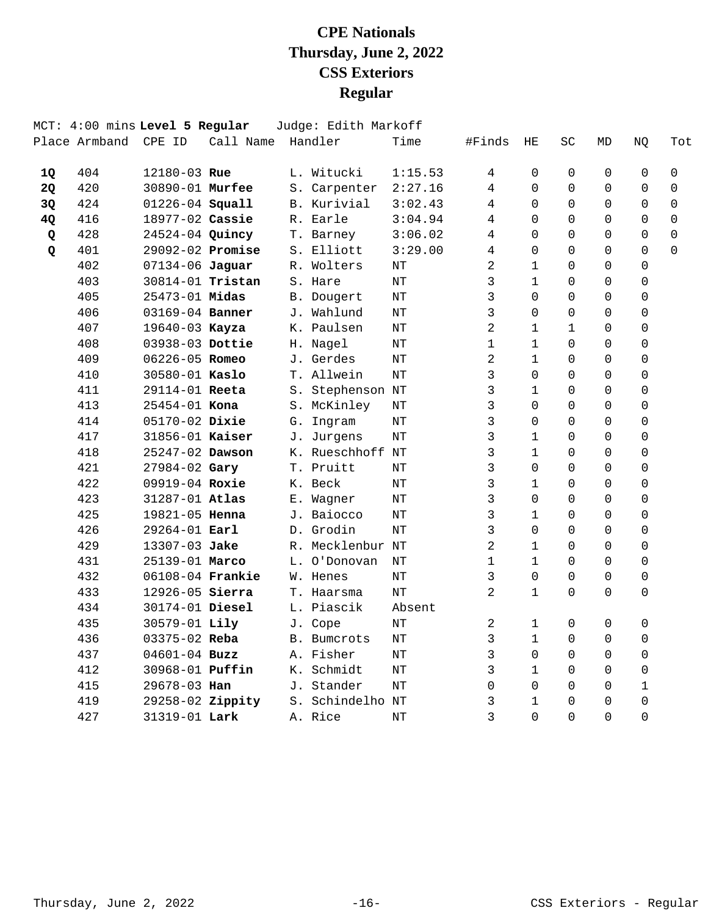| SC           | МD       |                |          |
|--------------|----------|----------------|----------|
|              |          | NQ             | Tot      |
| 0            | 0        | 0              | 0        |
| $\Omega$     | $\Omega$ | $\mathbf 0$    | 0        |
| $\Omega$     | $\Omega$ | 0              | 0        |
| $\Omega$     | $\Omega$ | $\Omega$       | $\Omega$ |
| $\Omega$     | $\Omega$ | $\Omega$       | 0        |
| $\Omega$     | $\Omega$ | 0              | $\Omega$ |
| $\Omega$     | $\Omega$ | $\Omega$       |          |
| $\Omega$     | 0        | 0              |          |
| $\Omega$     | $\Omega$ | 0              |          |
| $\Omega$     | $\Omega$ | 0              |          |
| $\mathbf{1}$ | $\Omega$ | 0              |          |
| $\Omega$     | $\Omega$ | 0              |          |
| $\Omega$     | $\Omega$ | 0              |          |
| $\Omega$     | $\Omega$ | $\Omega$       |          |
| $\Omega$     | $\Omega$ | $\Omega$       |          |
| $\Omega$     | 0        | 0              |          |
| $\Omega$     | $\Omega$ | 0              |          |
| $\Omega$     | $\Omega$ | 0              |          |
| $\Omega$     | $\Omega$ | 0              |          |
| 0            | $\Omega$ | $\mathbf 0$    |          |
| $\Omega$     | $\Omega$ | 0              |          |
| $\Omega$     | $\Omega$ | 0              |          |
| $\Omega$     | $\Omega$ | 0              |          |
| $\Omega$     | $\Omega$ | $\Omega$       |          |
| $\Omega$     | $\Omega$ | $\Omega$       |          |
| $\Omega$     | $\Omega$ | $\Omega$       |          |
| $\Omega$     | 0        | 0              |          |
| $\Omega$     | $\Omega$ | $\Omega$       |          |
|              |          |                |          |
| 0            | 0        | $\mathbf 0$    |          |
| $\Omega$     | 0        | $\mathbf 0$    |          |
| $\Omega$     | $\Omega$ | 0              |          |
| $\Omega$     | 0        | 0              |          |
| $\Omega$     | $\Omega$ | $\mathbf{1}$   |          |
| $\Omega$     | 0        | 0              |          |
| $\Omega$     | $\Omega$ | $\overline{0}$ |          |
|              |          |                |          |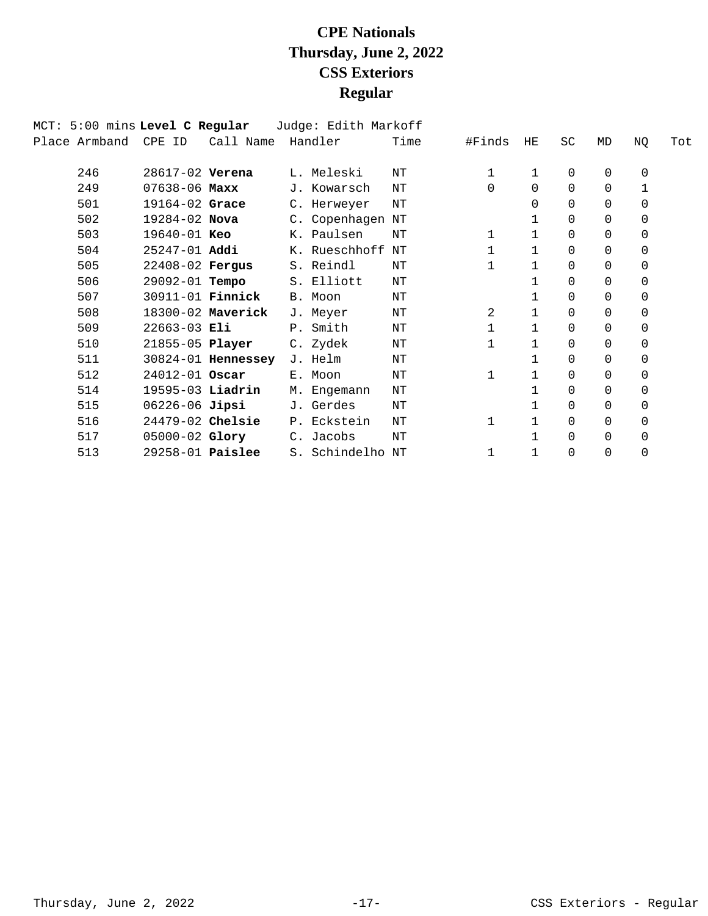| MCT: 5:00 mins Level C Regular |                         |                    | Judge: Edith Markoff |      |          |              |           |    |             |     |
|--------------------------------|-------------------------|--------------------|----------------------|------|----------|--------------|-----------|----|-------------|-----|
| Place Armband                  | CPE ID                  | Call Name          | Handler              | Time | #Finds   | HE           | <b>SC</b> | MD | NQ          | Tot |
|                                |                         |                    |                      |      |          |              |           |    |             |     |
| 246                            | 28617-02 Verena         |                    | L. Meleski           | NΤ   | 1        | 1            | 0         | 0  | 0           |     |
| 249                            | $07638 - 06$ Maxx       |                    | J. Kowarsch          | ΝT   | $\Omega$ | $\Omega$     | 0         | 0  | 1           |     |
| 501                            | 19164-02 Grace          |                    | C. Herweyer          | NΤ   |          | $\Omega$     | 0         | 0  | $\Omega$    |     |
| 502                            | $19284 - 02$ Nova       |                    | C. Copenhagen        | NΤ   |          | 1            | 0         | 0  | $\mathbf 0$ |     |
| 503                            | 19640-01 Keo            |                    | K. Paulsen           | NΤ   | 1        | $\mathbf{1}$ | 0         | 0  | $\mathbf 0$ |     |
| 504                            | $25247 - 01$ Addi       |                    | K. Rueschhoff        | ΝT   |          | 1            | 0         | 0  | 0           |     |
| 505                            | 22408-02 Fergus         |                    | S. Reindl            | NΤ   |          | 1            | $\Omega$  | 0  | 0           |     |
| 506                            | 29092-01 Tempo          |                    | S. Elliott           | NΤ   |          | 1            | 0         | 0  | 0           |     |
| 507                            | 30911-01 <b>Finnick</b> |                    | B. Moon              | NΤ   |          | $\mathbf{1}$ | 0         | 0  | 0           |     |
| 508                            |                         | 18300-02 Maverick  | J. Meyer             | NΤ   | 2        | $\mathbf 1$  | $\Omega$  | 0  | 0           |     |
| 509                            | $22663-03$ Eli          |                    | P. Smith             | NΤ   |          | $\mathbf{1}$ | 0         | 0  | $\mathbf 0$ |     |
| 510                            | 21855-05 Player         |                    | C. Zydek             | ΝT   |          | $\mathbf{1}$ | 0         | 0  | 0           |     |
| 511                            |                         | 30824-01 Hennessey | J. Helm              | ΝT   |          | $\mathbf{1}$ | 0         | 0  | $\mathbf 0$ |     |
| 512                            | 24012-01 Oscar          |                    | E. Moon              | ΝT   | 1        | $\mathbf{1}$ | 0         | 0  | 0           |     |
| 514                            | 19595-03 Liadrin        |                    | M. Engemann          | NΤ   |          | 1            | 0         | 0  | 0           |     |
| 515                            | 06226-06 Jipsi          |                    | J. Gerdes            | NΤ   |          | 1            | 0         | 0  | $\mathbf 0$ |     |
| 516                            | 24479-02 Chelsie        |                    | P. Eckstein          | NΤ   | 1        | 1            | 0         | 0  | 0           |     |
| 517                            | 05000-02 Glory          |                    | C. Jacobs            | NΤ   |          | 1            | 0         | 0  | 0           |     |
| 513                            | $29258-01$ Paislee      |                    | S. Schindelho        | NΤ   | 1        | 1            | 0         | 0  | $\mathbf 0$ |     |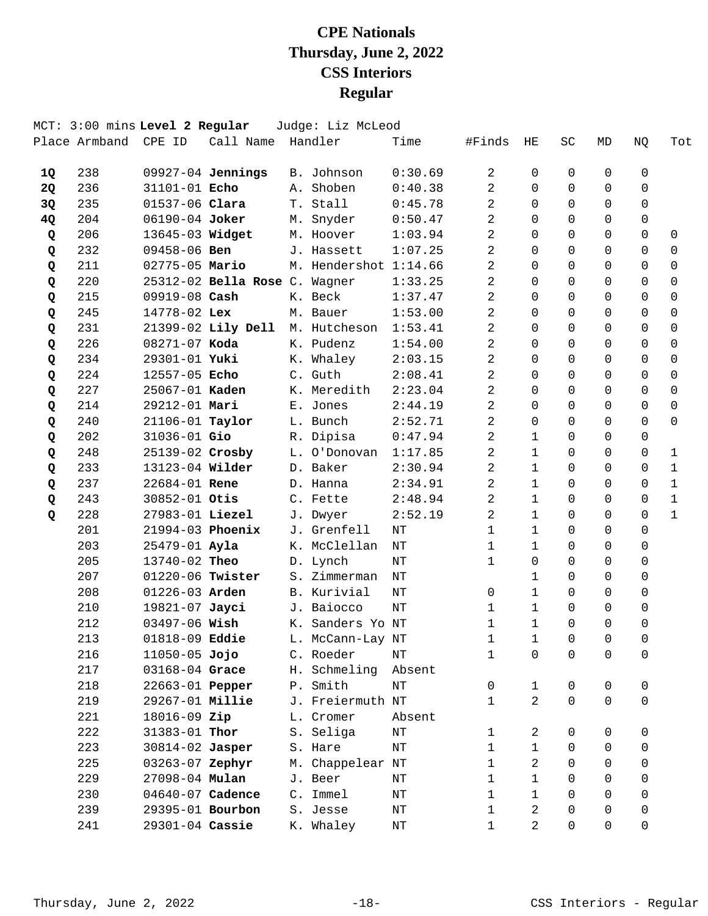|    |     | MCT: 3:00 mins Level 2 Regular |                               | Judge: Liz McLeod     |           |                |                |                |                |              |              |
|----|-----|--------------------------------|-------------------------------|-----------------------|-----------|----------------|----------------|----------------|----------------|--------------|--------------|
|    |     | Place Armband CPE ID           | Call Name Handler             |                       | Time      | #Finds         | HE             | SC             | MD             | ΝQ           | Tot          |
| 1Q | 238 |                                | 09927-04 Jennings             | B. Johnson            | 0:30.69   | 2              | 0              | 0              | 0              | $\Omega$     |              |
| 2Q | 236 | 31101-01 Echo                  |                               | A. Shoben             | 0:40.38   | 2              | $\Omega$       | $\Omega$       | $\Omega$       | $\Omega$     |              |
| 3Q | 235 | 01537-06 Clara                 |                               | T. Stall              | 0:45.78   | 2              | $\Omega$       | $\Omega$       | $\Omega$       | $\Omega$     |              |
| 4Q | 204 | 06190-04 Joker                 |                               | M. Snyder             | 0:50.47   | 2              | $\Omega$       | $\Omega$       | $\Omega$       | 0            |              |
| Q  | 206 | 13645-03 Widget                |                               | M. Hoover             | 1:03.94   | 2              | $\Omega$       | 0              | $\Omega$       | 0            | $\mathbf 0$  |
| Q  | 232 | 09458-06 Ben                   |                               | J. Hassett            | 1:07.25   | 2              | $\Omega$       | 0              | $\Omega$       | 0            | $\Omega$     |
| Q  | 211 | 02775-05 Mario                 |                               | M. Hendershot 1:14.66 |           | 2              | $\Omega$       | $\Omega$       | $\Omega$       | 0            | $\Omega$     |
| Q  | 220 |                                | 25312-02 Bella Rose C. Wagner |                       | 1:33.25   | 2              | $\Omega$       | $\Omega$       | $\Omega$       | $\mathsf{O}$ | $\mathbf 0$  |
| Q  | 215 | 09919-08 Cash                  |                               | K. Beck               | 1:37.47   | $\overline{2}$ | $\Omega$       | $\Omega$       | $\Omega$       | 0            | $\Omega$     |
| Q  | 245 | 14778-02 Lex                   |                               | M. Bauer              | 1:53.00   | 2              | $\Omega$       | $\Omega$       | $\Omega$       | 0            | $\Omega$     |
| Q  | 231 |                                | 21399-02 Lily Dell            | M. Hutcheson          | 1:53.41   | 2              | $\Omega$       | $\Omega$       | $\Omega$       | $\Omega$     | $\Omega$     |
| Q  | 226 | 08271-07 Koda                  |                               | K. Pudenz             | 1:54.00   | 2              | $\Omega$       | $\Omega$       | $\Omega$       | $\Omega$     | $\mathbf 0$  |
| Q  | 234 | 29301-01 Yuki                  |                               | K. Whaley             | 2:03.15   | 2              | $\Omega$       | $\Omega$       | $\Omega$       | 0            | $\Omega$     |
| Q  | 224 | 12557-05 Echo                  |                               | C. Guth               | 2:08.41   | 2              | $\Omega$       | $\Omega$       | $\Omega$       | $\Omega$     | $\Omega$     |
| Q  | 227 | 25067-01 <b>Kaden</b>          |                               | K. Meredith           | 2:23.04   | 2              | $\Omega$       | $\Omega$       | $\Omega$       | 0            | $\Omega$     |
| Q  | 214 | 29212-01 Mari                  |                               | E. Jones              | 2:44.19   | 2              | $\Omega$       | $\Omega$       | $\Omega$       | $\Omega$     | $\mathbf 0$  |
| Q  | 240 | 21106-01 Taylor                |                               | L. Bunch              | 2:52.71   | $\overline{2}$ | $\Omega$       | $\Omega$       | $\Omega$       | $\Omega$     | $\Omega$     |
| Q  | 202 | 31036-01 Gio                   |                               | R. Dipisa             | 0:47.94   | $\overline{a}$ | $\mathbf{1}$   | 0              | $\Omega$       | 0            |              |
| Q  | 248 | 25139-02 Crosby                |                               | L. O'Donovan          | 1:17.85   | $\overline{2}$ | $\mathbf{1}$   | $\Omega$       | 0              | 0            | 1            |
| Q  | 233 | 13123-04 Wilder                |                               | D. Baker              | 2:30.94   | 2              | $\mathbf{1}$   | $\Omega$       | $\Omega$       | $\Omega$     | $\mathbf{1}$ |
| Q  | 237 | 22684-01 Rene                  |                               | D. Hanna              | 2:34.91   | $\overline{2}$ | $\mathbf{1}$   | $\Omega$       | $\Omega$       | $\Omega$     | $\mathbf{1}$ |
| Q  | 243 | 30852-01 Otis                  |                               | C. Fette              | 2:48.94   | 2              | 1              | $\Omega$       | $\Omega$       | 0            | $\mathbf{1}$ |
| Q  | 228 | 27983-01 Liezel                |                               | J. Dwyer              | 2:52.19   | $\overline{2}$ | $\mathbf{1}$   | 0              | $\Omega$       | 0            | $\mathbf{1}$ |
|    | 201 | 21994-03 Phoenix               |                               | J. Grenfell           | $\rm{NT}$ | 1              | $\mathbf 1$    | $\Omega$       | $\Omega$       | 0            |              |
|    | 203 | 25479-01 Ayla                  |                               | K. McClellan          | NΤ        | $\mathbf{1}$   | $\mathbf{1}$   | $\Omega$       | $\Omega$       | 0            |              |
|    | 205 | 13740-02 Theo                  |                               | D. Lynch              | NΤ        | $\mathbf{1}$   | $\Omega$       | $\Omega$       | $\Omega$       | 0            |              |
|    | 207 | 01220-06 Twister               |                               | S. Zimmerman          | ΝT        |                | 1              | $\Omega$       | 0              | 0            |              |
|    | 208 | 01226-03 Arden                 |                               | B. Kurivial           | NT        | $\mathbf 0$    | $\mathbf{1}$   | $\Omega$       | $\Omega$       | 0            |              |
|    | 210 | 19821-07 Jayci                 |                               | J. Baiocco            | NT        | $\mathbf{1}$   | $\mathbf{1}$   | $\Omega$       | 0              | 0            |              |
|    | 212 | 03497-06 Wish                  |                               | K. Sanders Yo NT      |           | 1              | $\mathbf{1}$   | $\Omega$       | $\Omega$       | 0            |              |
|    | 213 |                                | 01818-09 <b>Eddie</b>         | L. McCann-Lay NT      |           | $\mathbf{1}$   | $\mathbf{1}$   | $\overline{0}$ | $\overline{0}$ | 0            |              |
|    | 216 | 11050-05 Jojo                  |                               | C. Roeder             | ΝT        | 1              | 0              | 0              | 0              | 0            |              |
|    | 217 | 03168-04 Grace                 |                               | H. Schmeling Absent   |           |                |                |                |                |              |              |
|    | 218 |                                | 22663-01 <b>Pepper</b>        | P. Smith              | NΤ        | 0              | 1              | 0              | 0              | 0            |              |
|    | 219 |                                | 29267-01 Millie               | J. Freiermuth NT      |           | $\mathbf{1}$   | $\overline{a}$ | $\Omega$       | $\mathbf 0$    | 0            |              |
|    | 221 | 18016-09 Zip                   |                               | L. Cromer             | Absent    |                |                |                |                |              |              |
|    | 222 | 31383-01 $Thor$                |                               | S. Seliga             | $\rm{NT}$ | $\mathbf{1}$   | 2              | 0              | 0              | 0            |              |
|    | 223 | 30814-02 Jasper                |                               | S. Hare               | NΤ        | 1              | $\mathbf{1}$   | 0              | $\Omega$       | 0            |              |
|    | 225 | 03263-07 Zephyr                |                               | M. Chappelear NT      |           | 1              | 2              | 0              | 0              | 0            |              |
|    | 229 | 27098-04 Mulan                 |                               | J. Beer               | ΝT        | 1              | $\mathbf{1}$   | 0              | 0              | 0            |              |
|    | 230 | 04640-07 Cadence               |                               | C. Immel              | ΝT        | 1              | $\mathbf{1}$   | $\Omega$       | $\Omega$       | 0            |              |
|    | 239 | 29395-01 Bourbon               |                               | S. Jesse              | ΝT        | 1              | 2              | 0              | 0              | 0            |              |
|    | 241 | 29301-04 Cassie                |                               | K. Whaley             | $\rm{NT}$ | $\mathbf{1}$   | $\overline{a}$ | 0              | 0              | 0            |              |
|    |     |                                |                               |                       |           |                |                |                |                |              |              |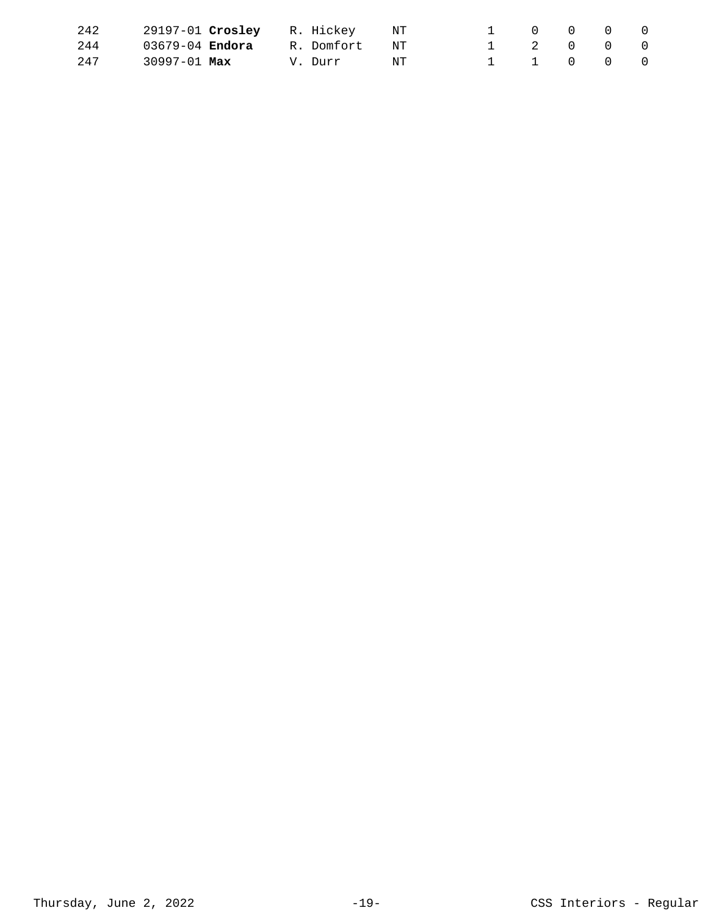| 242 | 29197-01 Crosley R. Hickey |                 | NT NT | $\begin{matrix} 0 & 0 & 0 \end{matrix}$ |  |  |
|-----|----------------------------|-----------------|-------|-----------------------------------------|--|--|
| 244 | $03679 - 04$ Endora        | R. Domfort – NT |       | 1 2 0 0 0                               |  |  |
| 247 | 30997-01 Max               | V. Durr         | NT    | 1 1 0 0 0                               |  |  |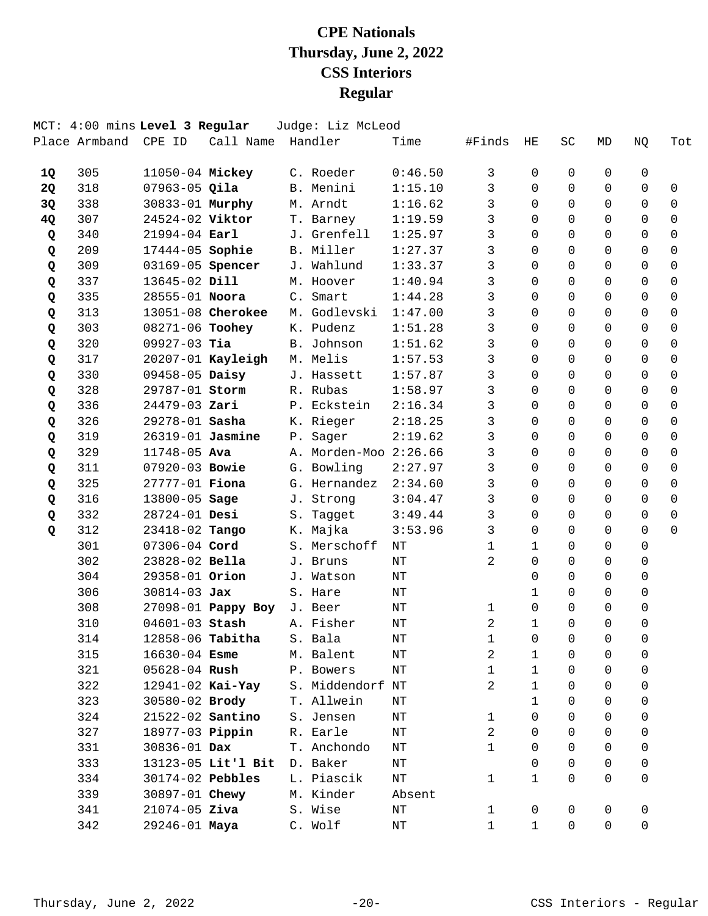|           |               | MCT: 4:00 mins Level 3 Regular |                    | Judge: Liz McLeod     |           |              |              |             |             |             |             |
|-----------|---------------|--------------------------------|--------------------|-----------------------|-----------|--------------|--------------|-------------|-------------|-------------|-------------|
|           | Place Armband | CPE ID                         | Call Name          | Handler               | Time      | #Finds       | ΗE           | SC          | MD          | NQ          | Tot         |
| 1Q        | 305           | 11050-04 Mickey                |                    | C. Roeder             | 0:46.50   | 3            | 0            | 0           | $\Omega$    | 0           |             |
| <b>2Q</b> | 318           | $07963 - 05$ Qila              |                    | B. Menini             | 1:15.10   | 3            | $\Omega$     | $\Omega$    | $\Omega$    | $\Omega$    | $\mathbf 0$ |
| 3Q        | 338           | 30833-01 Murphy                |                    | M. Arndt              | 1:16.62   | 3            | $\Omega$     | $\Omega$    | $\Omega$    | $\mathbf 0$ | 0           |
| 4Q        | 307           | 24524-02 Viktor                |                    | T. Barney             | 1:19.59   | 3            | $\Omega$     | $\Omega$    | $\Omega$    | $\Omega$    | $\mathbf 0$ |
| Q         | 340           | $21994 - 04$ Earl              |                    | J. Grenfell           | 1:25.97   | 3            | $\Omega$     | $\Omega$    | $\Omega$    | $\Omega$    | $\Omega$    |
| Q         | 209           | 17444-05 Sophie                |                    | B. Miller             | 1:27.37   | 3            | $\Omega$     | $\Omega$    | $\Omega$    | $\Omega$    | $\Omega$    |
| Q         | 309           | 03169-05 Spencer               |                    | J. Wahlund            | 1:33.37   | 3            | $\Omega$     | $\Omega$    | $\Omega$    | $\Omega$    | 0           |
| Q         | 337           | 13645-02 Dill                  |                    | M. Hoover             | 1:40.94   | 3            | $\Omega$     | $\Omega$    | $\Omega$    | $\Omega$    | 0           |
| Q         | 335           | 28555-01 Noora                 |                    | C. Smart              | 1:44.28   | 3            | $\Omega$     | $\Omega$    | $\Omega$    | $\Omega$    | $\Omega$    |
| Q         | 313           |                                | 13051-08 Cherokee  | M. Godlevski          | 1:47.00   | 3            | $\Omega$     | $\Omega$    | $\Omega$    | $\Omega$    | $\Omega$    |
| Q         | 303           | 08271-06 Toohey                |                    | K. Pudenz             | 1:51.28   | 3            | $\Omega$     | $\Omega$    | $\Omega$    | $\Omega$    | $\Omega$    |
| Q         | 320           | $09927-03$ Tia                 |                    | B. Johnson            | 1:51.62   | 3            | $\Omega$     | $\Omega$    | $\Omega$    | $\Omega$    | $\Omega$    |
| Q         | 317           |                                | 20207-01 Kayleigh  | M. Melis              | 1:57.53   | 3            | $\Omega$     | $\Omega$    | $\Omega$    | $\Omega$    | $\Omega$    |
| Q         | 330           | 09458-05 Daisy                 |                    | J. Hassett            | 1:57.87   | 3            | $\Omega$     | $\Omega$    | $\Omega$    | $\Omega$    | $\Omega$    |
| Q         | 328           | 29787-01 Storm                 |                    | R. Rubas              | 1:58.97   | 3            | $\Omega$     | $\Omega$    | $\Omega$    | $\Omega$    | $\Omega$    |
| Q         | 336           | 24479-03 Zari                  |                    | P. Eckstein           | 2:16.34   | 3            | $\Omega$     | $\Omega$    | $\Omega$    | $\Omega$    | $\mathbf 0$ |
| Q         | 326           | 29278-01 Sasha                 |                    | K. Rieger             | 2:18.25   | 3            | $\Omega$     | $\Omega$    | $\Omega$    | $\Omega$    | $\Omega$    |
| Q         | 319           | 26319-01 Jasmine               |                    | P. Sager              | 2:19.62   | 3            | $\Omega$     | 0           | $\Omega$    | $\Omega$    | $\Omega$    |
| Q         | 329           | 11748-05 Ava                   |                    | A. Morden-Moo 2:26.66 |           | 3            | $\Omega$     | $\Omega$    | $\Omega$    | $\Omega$    | $\Omega$    |
| Q         | 311           | 07920-03 Bowie                 |                    | G. Bowling            | 2:27.97   | 3            | $\Omega$     | $\Omega$    | $\Omega$    | $\Omega$    | $\Omega$    |
| Q         | 325           | 27777-01 Fiona                 |                    | G. Hernandez          | 2:34.60   | 3            | $\Omega$     | $\Omega$    | $\Omega$    | $\Omega$    | $\Omega$    |
| Q         | 316           | 13800-05 Sage                  |                    | J. Strong             | 3:04.47   | 3            | $\Omega$     | 0           | $\Omega$    | $\Omega$    | $\Omega$    |
| Q         | 332           | 28724-01 Desi                  |                    | S. Tagget             | 3:49.44   | 3            | $\Omega$     | $\Omega$    | $\Omega$    | $\Omega$    | $\Omega$    |
| Q         | 312           | 23418-02 Tango                 |                    | K. Majka              | 3:53.96   | 3            | $\Omega$     | $\Omega$    | $\Omega$    | $\Omega$    | $\Omega$    |
|           | 301           | 07306-04 Cord                  |                    | S. Merschoff          | NT        | $\mathbf{1}$ | $\mathbf{1}$ | $\Omega$    | $\Omega$    | 0           |             |
|           | 302           | 23828-02 Bella                 |                    | J. Bruns              | NT        | 2            | 0            | 0           | 0           | $\Omega$    |             |
|           | 304           | 29358-01 Orion                 |                    | J. Watson             | NT        |              | $\Omega$     | $\Omega$    | $\Omega$    | 0           |             |
|           | 306           | $30814 - 03$ Jax               |                    | S. Hare               | NT        |              | $\mathbf{1}$ | $\Omega$    | 0           | $\mathbf 0$ |             |
|           | 308           |                                | 27098-01 Pappy Boy | J. Beer               | NT        | 1            | $\mathbf 0$  | $\Omega$    | 0           | 0           |             |
|           | 310           | 04601-03 Stash                 |                    | A. Fisher             | $\rm{NT}$ | 2            | $\mathbf{1}$ | $\Omega$    | $\Omega$    | $\Omega$    |             |
|           | 314           | 12858-06 Tabitha               |                    | S. Bala               | ΝT        | $\mathbf 1$  | 0            | 0           | 0           | 0           |             |
|           | 315           | $16630 - 04$ Esme              |                    | M. Balent             | NΤ        | 2            | $\mathbf{1}$ | 0           | 0           | 0           |             |
|           | 321           | 05628-04 Rush                  |                    | P. Bowers             | NΤ        | 1            | $\mathbf{1}$ | $\Omega$    | 0           | 0           |             |
|           | 322           | 12941-02 Kai-Yay               |                    | S. Middendorf NT      |           | 2            | $\mathbf{1}$ | 0           | 0           | 0           |             |
|           | 323           | 30580-02 Brody                 |                    | T. Allwein            | NΤ        |              | $\mathbf{1}$ | 0           | $\Omega$    | 0           |             |
|           | 324           | 21522-02 Santino               |                    | S. Jensen             | NΤ        | $\mathbf{1}$ | 0            | 0           | 0           | 0           |             |
|           | 327           | 18977-03 <b>Pippin</b>         |                    | R. Earle              | NΤ        | 2            | 0            | $\Omega$    | $\Omega$    | 0           |             |
|           | 331           | 30836-01 Dax                   |                    | T. Anchondo           | NΤ        | $\mathbf 1$  | 0            | 0           | 0           | 0           |             |
|           | 333           |                                | 13123-05 Lit'l Bit | D. Baker              | NΤ        |              | 0            | 0           | 0           | 0           |             |
|           | 334           | 30174-02 Pebbles               |                    | L. Piascik            | NΤ        | $\mathbf{1}$ | $\mathbf{1}$ | 0           | $\Omega$    | $\mathbf 0$ |             |
|           | 339           | 30897-01 Chewy                 |                    | M. Kinder             | Absent    |              |              |             |             |             |             |
|           | 341           | $21074 - 05$ Ziva              |                    | S. Wise               | NΤ        | $\mathbf 1$  | 0            | 0           | 0           | 0           |             |
|           | 342           | 29246-01 Maya                  |                    | C. Wolf               | ΝT        | $\mathbf{1}$ | $\mathbf{1}$ | $\mathbf 0$ | $\mathbf 0$ | 0           |             |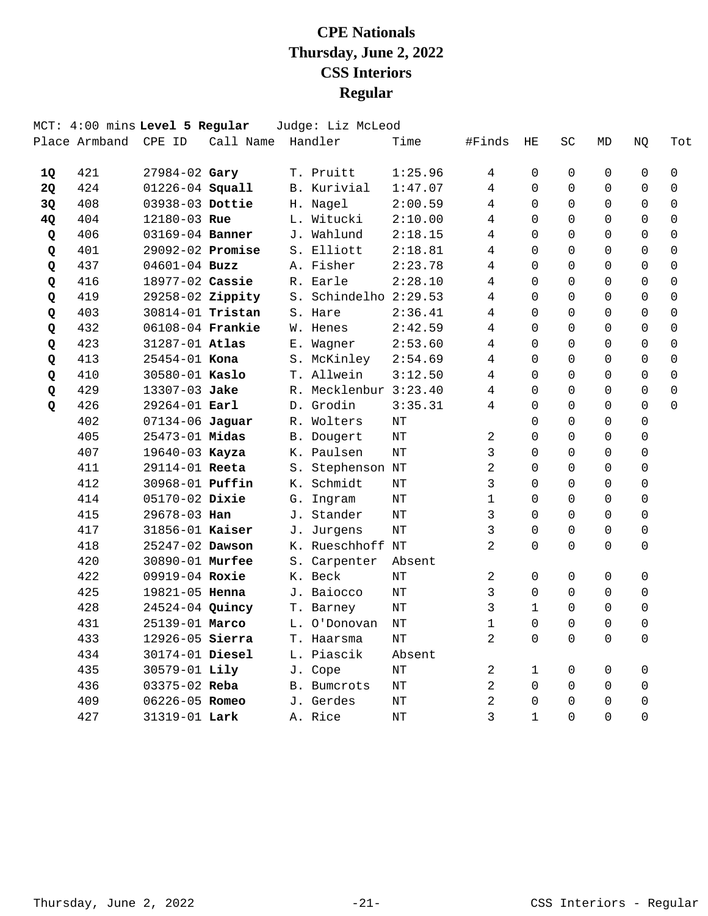|           |               | MCT: 4:00 mins Level 5 Regular |           | Judge: Liz McLeod     |           |                |              |          |          |             |             |
|-----------|---------------|--------------------------------|-----------|-----------------------|-----------|----------------|--------------|----------|----------|-------------|-------------|
|           | Place Armband | CPE ID                         | Call Name | Handler               | Time      | #Finds         | HE           | SC       | MD       | NQ          | Tot         |
| 10        | 421           | 27984-02 Gary                  |           | T. Pruitt             | 1:25.96   | 4              | 0            | 0        | 0        | $\mathbf 0$ | $\mathbf 0$ |
| <b>2Q</b> | 424           | 01226-04 Squall                |           | B. Kurivial           | 1:47.07   | 4              | $\Omega$     | $\Omega$ | $\Omega$ | $\Omega$    | $\Omega$    |
| 3Q        | 408           | 03938-03 Dottie                |           | H. Nagel              | 2:00.59   | 4              | $\Omega$     | $\Omega$ | $\Omega$ | $\Omega$    | $\mathbf 0$ |
| 4Q        | 404           | 12180-03 Rue                   |           | L. Witucki            | 2:10.00   | 4              | $\Omega$     | $\Omega$ | $\Omega$ | $\Omega$    | $\mathbf 0$ |
| Q         | 406           | 03169-04 Banner                |           | J. Wahlund            | 2:18.15   | $\overline{4}$ | $\Omega$     | $\Omega$ | $\Omega$ | $\Omega$    | 0           |
| Q         | 401           | 29092-02 Promise               |           | S. Elliott            | 2:18.81   | 4              | $\Omega$     | $\Omega$ | $\Omega$ | $\Omega$    | $\mathbf 0$ |
| Q         | 437           | $04601 - 04$ Buzz              |           | A. Fisher             | 2:23.78   | 4              | $\mathbf 0$  | $\Omega$ | $\Omega$ | $\Omega$    | 0           |
| Q         | 416           | 18977-02 Cassie                |           | R. Earle              | 2:28.10   | 4              | $\mathbf 0$  | $\Omega$ | $\Omega$ | $\Omega$    | $\mathbf 0$ |
| Q         | 419           | 29258-02 Zippity               |           | S. Schindelho 2:29.53 |           | 4              | $\Omega$     | $\Omega$ | $\Omega$ | $\Omega$    | $\Omega$    |
| Q         | 403           | 30814-01 Tristan               |           | S. Hare               | 2:36.41   | 4              | $\Omega$     | $\Omega$ | $\Omega$ | $\Omega$    | $\Omega$    |
| Q         | 432           | 06108-04 Frankie               |           | W. Henes              | 2:42.59   | 4              | $\Omega$     | $\Omega$ | $\Omega$ | $\Omega$    | $\Omega$    |
| Q         | 423           | 31287-01 Atlas                 |           | E. Wagner             | 2:53.60   | 4              | $\Omega$     | $\Omega$ | $\Omega$ | $\Omega$    | $\Omega$    |
| Q         | 413           | $25454 - 01$ Kona              |           | S. McKinley           | 2:54.69   | 4              | $\Omega$     | $\Omega$ | $\Omega$ | $\Omega$    | $\Omega$    |
| Q         | 410           | 30580-01 Kaslo                 |           | T. Allwein            | 3:12.50   | 4              | $\Omega$     | $\Omega$ | $\Omega$ | $\Omega$    | $\Omega$    |
| Q         | 429           | 13307-03 Jake                  |           | R. Mecklenbur 3:23.40 |           | 4              | $\Omega$     | $\Omega$ | $\Omega$ | 0           | $\Omega$    |
| Q         | 426           | 29264-01 Earl                  |           | D. Grodin             | 3:35.31   | 4              | $\Omega$     | $\Omega$ | $\Omega$ | $\Omega$    | $\Omega$    |
|           | 402           | 07134-06 Jaguar                |           | R. Wolters            | NT        |                | $\Omega$     | $\Omega$ | $\Omega$ | $\Omega$    |             |
|           | 405           | 25473-01 Midas                 |           | B. Dougert            | NT        | 2              | $\Omega$     | $\Omega$ | $\Omega$ | 0           |             |
|           | 407           | 19640-03 Kayza                 |           | K. Paulsen            | NT        | 3              | 0            | $\Omega$ | $\Omega$ | 0           |             |
|           | 411           | 29114-01 Reeta                 |           | S. Stephenson NT      |           | 2              | 0            | $\Omega$ | $\Omega$ | $\mathbf 0$ |             |
|           | 412           | 30968-01 <b>Puffin</b>         |           | K. Schmidt            | $\rm{NT}$ | 3              | $\Omega$     | $\Omega$ | $\Omega$ | $\Omega$    |             |
|           | 414           | 05170-02 Dixie                 |           | G. Ingram             | NT        | $\mathbf 1$    | $\Omega$     | $\Omega$ | $\Omega$ | $\Omega$    |             |
|           | 415           | 29678-03 Han                   |           | J. Stander            | NT        | 3              | $\Omega$     | $\Omega$ | $\Omega$ | 0           |             |
|           | 417           | 31856-01 <b>Kaiser</b>         |           | J. Jurgens            | $\rm{NT}$ | 3              | $\Omega$     | $\Omega$ | $\Omega$ | 0           |             |
|           | 418           | 25247-02 Dawson                |           | K. Rueschhoff NT      |           | $\overline{2}$ | $\Omega$     | $\Omega$ | $\Omega$ | $\Omega$    |             |
|           | 420           | 30890-01 Murfee                |           | S. Carpenter          | Absent    |                |              |          |          |             |             |
|           | 422           | 09919-04 Roxie                 |           | K. Beck               | NT        | 2              | $\Omega$     | $\Omega$ | $\Omega$ | $\Omega$    |             |
|           | 425           | 19821-05 Henna                 |           | J. Baiocco            | NT        | 3              | $\Omega$     | $\Omega$ | $\Omega$ | $\Omega$    |             |
|           | 428           | 24524-04 Quincy                |           | T. Barney             | $\rm{NT}$ | 3              | $\mathbf{1}$ | $\Omega$ | $\Omega$ | $\Omega$    |             |
|           | 431           | 25139-01 Marco                 |           | L. O'Donovan          | NΤ        | $\mathbf 1$    | $\Omega$     | $\Omega$ | $\Omega$ | $\Omega$    |             |
|           | 433           | 12926-05 Sierra                |           | T. Haarsma            | NT        | $\overline{2}$ | $\Omega$     | $\Omega$ | $\Omega$ | 0           |             |
|           | 434           | 30174-01 Diesel                |           | L. Piascik            | Absent    |                |              |          |          |             |             |
|           | 435           | 30579-01 Lily                  |           | J. Cope               | NΤ        | 2              | 1            | 0        | 0        | 0           |             |
|           | 436           | 03375-02 Reba                  |           | <b>B.</b> Bumcrots    | NΤ        | $\overline{a}$ | $\Omega$     | $\Omega$ | $\Omega$ | 0           |             |
|           | 409           | 06226-05 Romeo                 |           | J. Gerdes             | NT        | 2              | $\Omega$     | $\Omega$ | $\Omega$ | 0           |             |
|           | 427           | 31319-01 Lark                  |           | A. Rice               | NT        | 3              | $\mathbf{1}$ | $\Omega$ | $\Omega$ | $\Omega$    |             |
|           |               |                                |           |                       |           |                |              |          |          |             |             |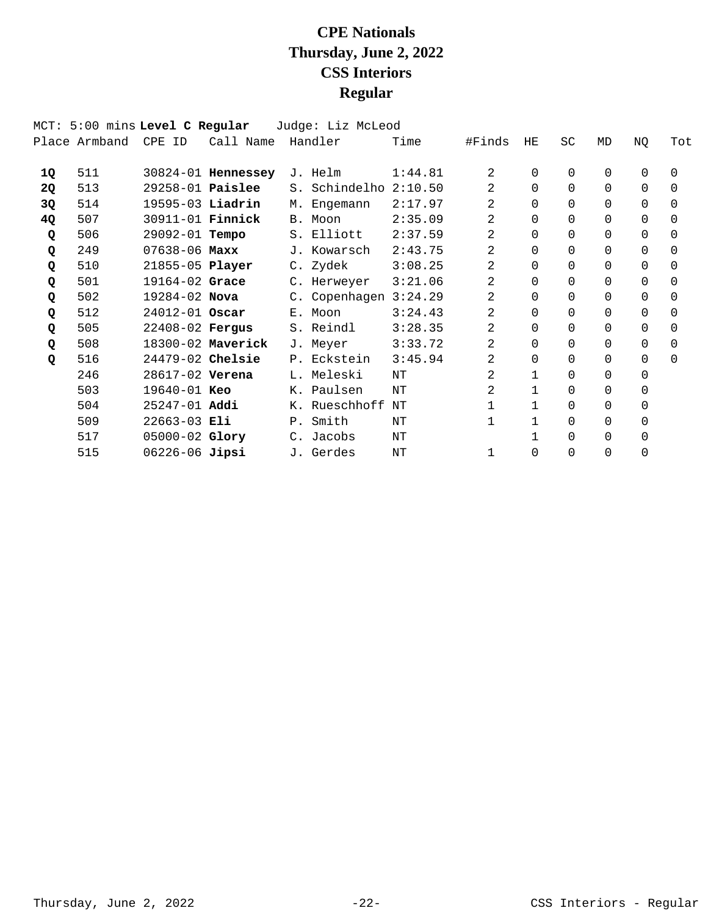|    | MCT: 5:00 mins Level C Regular |                         |                    | Judge: Liz McLeod       |         |              |              |              |          |          |          |
|----|--------------------------------|-------------------------|--------------------|-------------------------|---------|--------------|--------------|--------------|----------|----------|----------|
|    | Place Armband                  | CPE ID                  | Call Name          | Handler                 | Time    | #Finds       | HE           | <b>SC</b>    | MD       | ΝQ       | Tot      |
| 1Q | 511                            |                         | 30824-01 Hennessey | J. Helm                 | 1:44.81 | 2            | $\Omega$     | 0            | 0        | $\Omega$ | $\Omega$ |
| 2Q | 513                            | $29258-01$ Paislee      |                    | S. Schindelho           | 2:10.50 | 2            | $\Omega$     | $\Omega$     | 0        | 0        | $\Omega$ |
| 3Q | 514                            | $19595-03$ Liadrin      |                    | M. Engemann             | 2:17.97 | 2            | $\Omega$     | $\Omega$     | $\Omega$ | $\Omega$ | $\Omega$ |
| 4Q | 507                            | 30911-01 <b>Finnick</b> |                    | B. Moon                 | 2:35.09 | 2            | $\Omega$     | $\Omega$     | $\Omega$ | 0        | $\Omega$ |
| Q  | 506                            | 29092-01 Tempo          |                    | S. Elliott              | 2:37.59 | 2            | $\Omega$     | $\Omega$     | $\Omega$ | $\Omega$ | $\Omega$ |
| Q  | 249                            | $07638 - 06$ Maxx       |                    | J. Kowarsch             | 2:43.75 | 2            | $\Omega$     | $\Omega$     | 0        | $\Omega$ | $\Omega$ |
| Q  | 510                            | 21855-05 Player         |                    | C. Zydek                | 3:08.25 | 2            | $\Omega$     | $\Omega$     | 0        | 0        | $\Omega$ |
| Q  | 501                            | 19164-02 Grace          |                    | C. Herweyer             | 3:21.06 | 2            | $\Omega$     | $\Omega$     | $\Omega$ | $\Omega$ | $\Omega$ |
| Q  | 502                            | 19284-02 Nova           |                    | C. Copenhagen $3:24.29$ |         | 2            | $\Omega$     | $\Omega$     | 0        | $\Omega$ | $\Omega$ |
| Q  | 512                            | 24012-01 Oscar          |                    | E. Moon                 | 3:24.43 | 2            | $\Omega$     | $\Omega$     | 0        | $\Omega$ | $\Omega$ |
| Q  | 505                            | 22408-02 Fergus         |                    | S. Reindl               | 3:28.35 | 2            | $\Omega$     | $\Omega$     | $\Omega$ | 0        | $\Omega$ |
| Q  | 508                            |                         | 18300-02 Maverick  | J. Meyer                | 3:33.72 | 2            | $\Omega$     | $\Omega$     | $\Omega$ | $\Omega$ | $\Omega$ |
| Q  | 516                            | 24479-02 Chelsie        |                    | P. Eckstein             | 3:45.94 | 2            | $\Omega$     | $\Omega$     | 0        | $\Omega$ | $\Omega$ |
|    | 246                            | 28617-02 Verena         |                    | L. Meleski              | NΤ      | 2            | $\mathbf{1}$ | $\Omega$     | 0        | $\Omega$ |          |
|    | 503                            | 19640-01 Keo            |                    | K. Paulsen              | NT      | 2            | $\mathbf{1}$ | <sup>0</sup> | 0        | 0        |          |
|    | 504                            | 25247-01 Addi           |                    | K. Rueschhoff           | ΝT      |              |              | $\Omega$     | 0        | 0        |          |
|    | 509                            | $22663-03$ Eli          |                    | P. Smith                | NΤ      | 1            | $\mathbf{1}$ | <sup>0</sup> | 0        | $\Omega$ |          |
|    | 517                            | $05000 - 02$ Glory      |                    | C. Jacobs               | ΝT      |              |              | 0            | 0        | 0        |          |
|    | 515                            | $06226 - 06$ Jipsi      |                    | J. Gerdes               | NΤ      | $\mathbf{1}$ | $\Omega$     | $\Omega$     | 0        | $\Omega$ |          |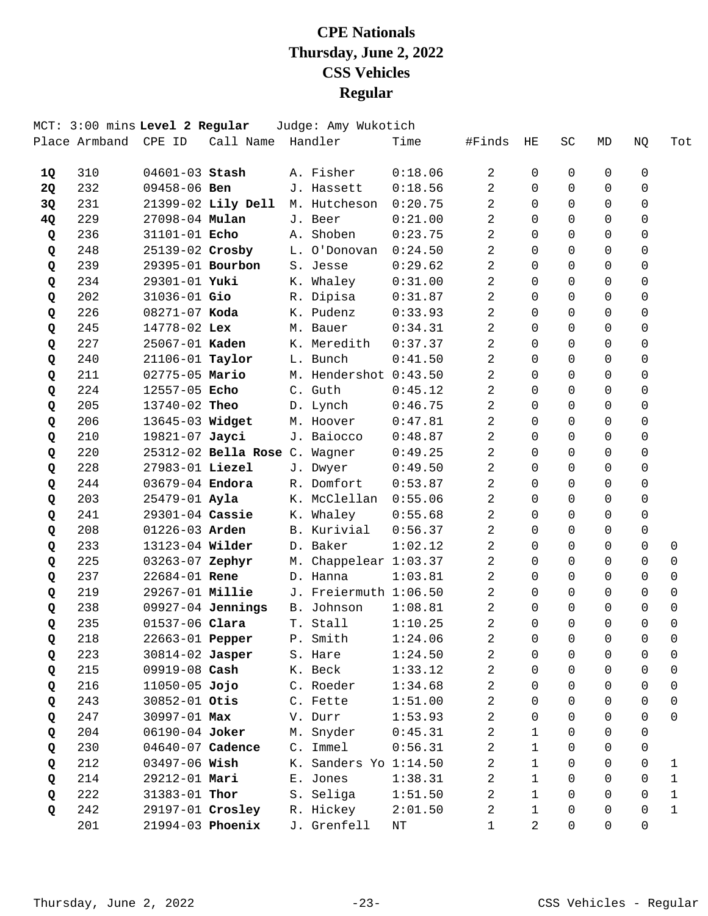|           |     | MCT: 3:00 mins Level 2 Regular |                               | Judge: Amy Wukotich   |         |                |                     |                |                |              |                |
|-----------|-----|--------------------------------|-------------------------------|-----------------------|---------|----------------|---------------------|----------------|----------------|--------------|----------------|
|           |     | Place Armband CPE ID           | Call Name Handler             |                       | Time    | #Finds         | HЕ                  | SC             | MD             | NQ           | Tot            |
| 1Q        | 310 | $04601 - 03$ Stash             |                               | A. Fisher             | 0:18.06 | $\overline{2}$ | 0                   | 0              | 0              | 0            |                |
| <b>2Q</b> | 232 | 09458-06 Ben                   |                               | J. Hassett            | 0:18.56 | 2              | $\Omega$            | $\Omega$       | $\Omega$       | $\Omega$     |                |
| 3Q        | 231 |                                | 21399-02 Lily Dell            | M. Hutcheson          | 0:20.75 | 2              | $\Omega$            | $\Omega$       | $\Omega$       | $\Omega$     |                |
| 4Q        | 229 | 27098-04 Mulan                 |                               | J. Beer               | 0:21.00 | 2              | 0                   | $\Omega$       | $\Omega$       | $\mathbf 0$  |                |
| Q         | 236 | 31101-01 Echo                  |                               | A. Shoben             | 0:23.75 | 2              | $\Omega$            | $\Omega$       | $\Omega$       | 0            |                |
| Q         | 248 | 25139-02 Crosby                |                               | L. O'Donovan          | 0:24.50 | 2              | $\Omega$            | $\Omega$       | $\Omega$       | $\Omega$     |                |
| Q         | 239 | 29395-01 Bourbon               |                               | S. Jesse              | 0:29.62 | 2              | 0                   | $\Omega$       | $\Omega$       | $\Omega$     |                |
| Q         | 234 | 29301-01 Yuki                  |                               | K. Whaley             | 0:31.00 | 2              | 0                   | $\Omega$       | $\Omega$       | 0            |                |
| Q         | 202 | 31036-01 Gio                   |                               | R. Dipisa             | 0:31.87 | $\overline{2}$ | $\Omega$            | $\Omega$       | $\Omega$       | 0            |                |
| Q         | 226 | 08271-07 Koda                  |                               | K. Pudenz             | 0:33.93 | 2              | $\Omega$            | $\Omega$       | $\Omega$       | $\Omega$     |                |
| Q         | 245 | 14778-02 Lex                   |                               | M. Bauer              | 0:34.31 | 2              | $\Omega$            | $\Omega$       | $\Omega$       | $\Omega$     |                |
| Q         | 227 | 25067-01 Kaden                 |                               | K. Meredith           | 0:37.37 | 2              | 0                   | $\Omega$       | $\Omega$       | 0            |                |
| Q         | 240 | 21106-01 Taylor                |                               | L. Bunch              | 0:41.50 | 2              | $\Omega$            | $\Omega$       | $\Omega$       | $\Omega$     |                |
| Q         | 211 | 02775-05 Mario                 |                               | M. Hendershot 0:43.50 |         | 2              | $\Omega$            | $\Omega$       | $\Omega$       | $\Omega$     |                |
| Q         | 224 | 12557-05 Echo                  |                               | C. Guth               | 0:45.12 | 2              | $\Omega$            | $\Omega$       | $\Omega$       | $\Omega$     |                |
| Q         | 205 | 13740-02 Theo                  |                               | D. Lynch              | 0:46.75 | 2              | 0                   | $\Omega$       | $\Omega$       | $\mathbf 0$  |                |
| Q         | 206 | 13645-03 Widget                |                               | M. Hoover             | 0:47.81 | 2              | $\Omega$            | $\Omega$       | $\Omega$       | $\Omega$     |                |
| Q         | 210 | 19821-07 Jayci                 |                               | J. Baiocco            | 0:48.87 | $\overline{a}$ | $\Omega$            | $\Omega$       | $\Omega$       | $\Omega$     |                |
| Q         | 220 |                                | 25312-02 Bella Rose C. Wagner |                       | 0:49.25 | $\overline{2}$ | $\Omega$            | $\Omega$       | $\Omega$       | $\Omega$     |                |
| Q         | 228 | 27983-01 Liezel                |                               | J. Dwyer              | 0:49.50 | 2              | 0                   | $\Omega$       | $\Omega$       | $\Omega$     |                |
| Q         | 244 | 03679-04 Endora                |                               | R. Domfort            | 0:53.87 | 2              | 0                   | $\Omega$       | $\Omega$       | $\Omega$     |                |
| Q         | 203 | 25479-01 Ayla                  |                               | K. McClellan          | 0:55.06 | 2              | $\Omega$            | $\Omega$       | $\Omega$       | $\Omega$     |                |
| Q         | 241 | 29301-04 Cassie                |                               | K. Whaley             | 0:55.68 | 2              | $\Omega$            | $\Omega$       | $\Omega$       | $\Omega$     |                |
| Q         | 208 | $01226 - 03$ Arden             |                               | B. Kurivial           | 0:56.37 | 2              | $\Omega$            | $\Omega$       | $\Omega$       | $\Omega$     |                |
| Q         | 233 | 13123-04 Wilder                |                               | D. Baker              | 1:02.12 | 2              | 0                   | $\Omega$       | $\Omega$       | $\Omega$     | 0              |
| Q         | 225 | 03263-07 Zephyr                |                               | M. Chappelear 1:03.37 |         | $\overline{2}$ | $\Omega$            | $\Omega$       | $\Omega$       | $\Omega$     | 0              |
| Q         | 237 | $22684 - 01$ Rene              |                               | D. Hanna              | 1:03.81 | $\overline{2}$ | $\Omega$            | $\Omega$       | 0              | 0            | 0              |
| Q         | 219 | 29267-01 Millie                |                               | J. Freiermuth 1:06.50 |         | 2              | $\Omega$            | $\Omega$       | $\Omega$       | $\Omega$     | $\Omega$       |
| Q         | 238 |                                | $09927-04$ Jennings           | B. Johnson            | 1:08.81 | 2              | 0                   | $\Omega$       | $\Omega$       | $\Omega$     | $\mathbf 0$    |
| Q         | 235 | 01537-06 Clara                 |                               | T. Stall              | 1:10.25 | 2              | $\Omega$            | $\Omega$       | $\Omega$       | $\Omega$     | $\Omega$       |
| Q         | 218 |                                | 22663-01 <b>Pepper</b>        | P. Smith              | 1:24.06 | $\overline{2}$ | 0                   | $\overline{0}$ | $\overline{0}$ | 0            | $\overline{0}$ |
| Q         | 223 | 30814-02 Jasper                |                               | S. Hare               | 1:24.50 | 2              | 0                   | 0              | 0              | 0            | 0              |
| Q         | 215 | 09919-08 Cash                  |                               | K. Beck               | 1:33.12 | 2              | $\mathsf{O}\xspace$ | $\mathbf 0$    | 0              | $\mathsf{O}$ | $\mathsf{O}$   |
| Q         | 216 | $11050-05$ Jojo                |                               | C. Roeder             | 1:34.68 | 2              | 0                   | $\Omega$       | $\Omega$       | 0            | $\mathbf 0$    |
| Q         | 243 | 30852-01 Otis                  |                               | C. Fette              | 1:51.00 | 2              | 0                   | $\Omega$       | $\Omega$       | 0            | 0              |
| Q         | 247 | 30997-01 Max                   |                               | V. Durr               | 1:53.93 | 2              | 0                   | $\Omega$       | $\Omega$       | 0            | 0              |
| Q         | 204 | 06190-04 Joker                 |                               | M. Snyder             | 0:45.31 | 2              | $\mathbf{1}$        | 0              | 0              | 0            |                |
| Q         | 230 | 04640-07 Cadence               |                               | C. Immel              | 0:56.31 | 2              | $\mathbf 1$         | 0              | $\Omega$       | 0            |                |
| Q         | 212 | 03497-06 Wish                  |                               | K. Sanders Yo 1:14.50 |         | 2              | $\mathbf{1}$        | $\Omega$       | $\Omega$       | 0            | 1              |
| Q         | 214 | 29212-01 Mari                  |                               | E. Jones              | 1:38.31 | 2              | $\mathbf{1}$        | $\Omega$       | $\Omega$       | 0            | 1              |
| Q         | 222 | 31383-01 Thor                  |                               | S. Seliga             | 1:51.50 | 2              | $\mathbf{1}$        | $\Omega$       | $\Omega$       | 0            | $\mathbf 1$    |
| Q         | 242 | 29197-01 Crosley               |                               | R. Hickey             | 2:01.50 | 2              | $\mathbf{1}$        | $\Omega$       | 0              | 0            | 1              |
|           | 201 | 21994-03 Phoenix               |                               | J. Grenfell           | ΝT      | $\mathbf{1}$   | 2                   | 0              | 0              | 0            |                |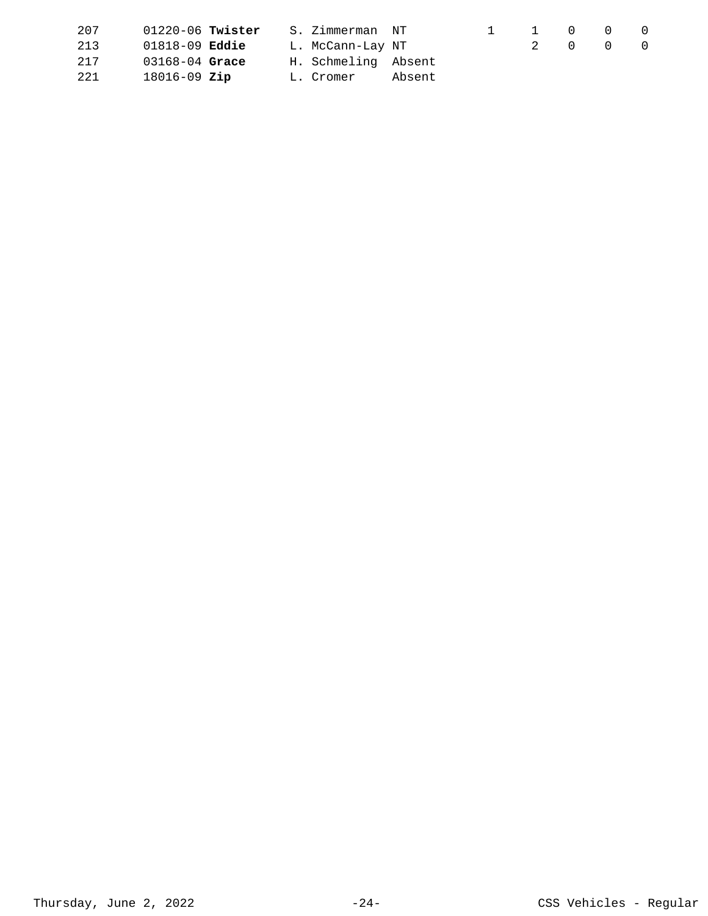| 207 | $01220 - 06$ Twister      |  | S. Zimmerman NT     |        | 1 0 0 0 |  |  |
|-----|---------------------------|--|---------------------|--------|---------|--|--|
| 213 | $01818 - 09$ <b>Eddie</b> |  | L. McCann-Lay NT    |        | 2 0 0 0 |  |  |
| 217 | $03168 - 04$ Grace        |  | H. Schmeling Absent |        |         |  |  |
| 221 | $18016 - 09$ Zip          |  | L. Cromer           | Absent |         |  |  |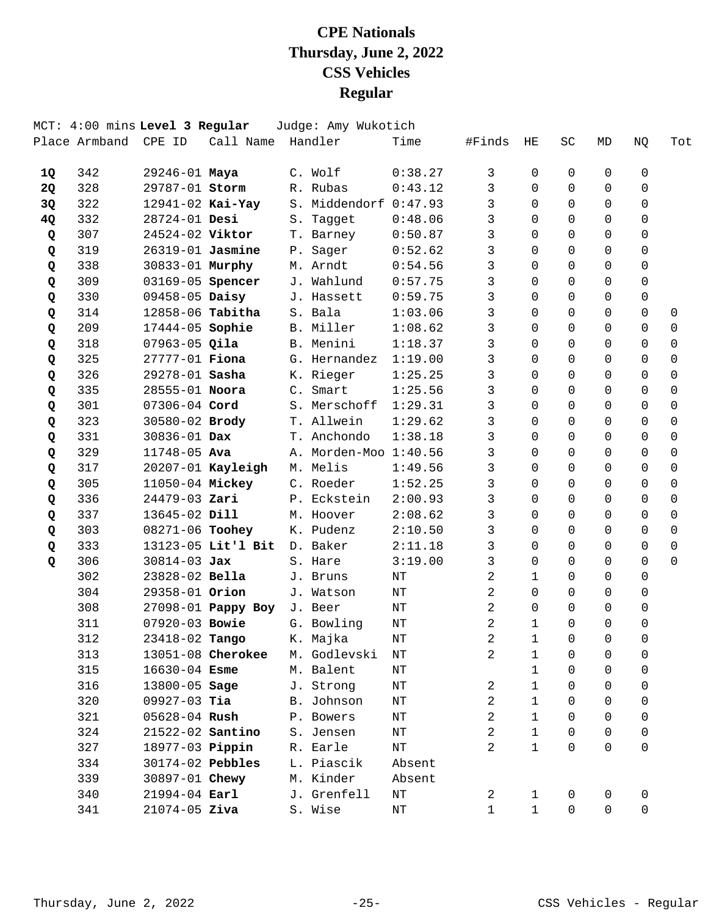|           |                      | MCT: 4:00 mins Level 3 Regular |                         | Judge: Amy Wukotich            |           |                |              |                |              |              |             |
|-----------|----------------------|--------------------------------|-------------------------|--------------------------------|-----------|----------------|--------------|----------------|--------------|--------------|-------------|
|           | Place Armband CPE ID |                                | Call Name Handler       |                                | Time      | #Finds         | HE           | SC             | MD           | NQ           | Tot         |
| 1Q        | 342                  | $29246 - 01$ Maya              |                         | C. Wolf                        | 0:38.27   | 3              | 0            | 0              | 0            | 0            |             |
| <b>2Q</b> | 328                  | 29787-01 Storm                 |                         | R. Rubas                       | 0:43.12   | 3              | $\Omega$     | $\Omega$       | $\Omega$     | $\Omega$     |             |
| 3Q        | 322                  | $12941 - 02$ Kai-Yay           |                         | S. Middendorf 0:47.93          |           | 3              | $\Omega$     | $\Omega$       | $\Omega$     | $\Omega$     |             |
| 4Q        | 332                  | 28724-01 Desi                  |                         | S. Tagget                      | 0:48.06   | 3              | $\Omega$     | $\Omega$       | $\Omega$     | $\mathbf 0$  |             |
| Q         | 307                  | 24524-02 Viktor                |                         | T. Barney                      | 0:50.87   | 3              | $\Omega$     | $\Omega$       | $\Omega$     | 0            |             |
| Q         | 319                  | 26319-01 Jasmine               |                         | P. Sager                       | 0:52.62   | 3              | $\Omega$     | $\Omega$       | $\Omega$     | $\Omega$     |             |
| Q         | 338                  | 30833-01 Murphy                |                         | M. Arndt                       | 0:54.56   | 3              | $\Omega$     | $\Omega$       | $\Omega$     | $\Omega$     |             |
| Q         | 309                  | 03169-05 Spencer               |                         | J. Wahlund                     | 0:57.75   | 3              | $\Omega$     | $\Omega$       | $\Omega$     | $\mathbf 0$  |             |
| Q         | 330                  | 09458-05 Daisy                 |                         | J. Hassett                     | 0:59.75   | $\mathbf{3}$   | $\Omega$     | $\Omega$       | $\Omega$     | $\mathbf 0$  |             |
| Q         | 314                  |                                | 12858-06 <b>Tabitha</b> | S. Bala                        | 1:03.06   | 3              | $\Omega$     | $\Omega$       | $\Omega$     | $\Omega$     | 0           |
| Q         | 209                  | 17444-05 Sophie                |                         | B. Miller                      | 1:08.62   | 3              | $\Omega$     | $\Omega$       | 0            | $\Omega$     | $\Omega$    |
| Q         | 318                  | $07963-05$ Qila                |                         | B. Menini                      | 1:18.37   | 3              | $\Omega$     | $\Omega$       | $\Omega$     | $\Omega$     | $\mathbf 0$ |
| Q         | 325                  | 27777-01 Fiona                 |                         | G. Hernandez                   | 1:19.00   | 3              | $\Omega$     | $\Omega$       | $\Omega$     | $\Omega$     | $\Omega$    |
| Q         | 326                  | 29278-01 Sasha                 |                         | K. Rieger                      | 1:25.25   | 3              | $\Omega$     | $\Omega$       | $\Omega$     | $\Omega$     | $\Omega$    |
| Q         | 335                  | 28555-01 Noora                 |                         | C. Smart                       | 1:25.56   | 3              | $\Omega$     | $\Omega$       | $\Omega$     | $\Omega$     | $\Omega$    |
| Q         | 301                  | 07306-04 Cord                  |                         | S. Merschoff                   | 1:29.31   | 3              | $\Omega$     | $\Omega$       | $\Omega$     | $\Omega$     | 0           |
| Q         | 323                  | 30580-02 Brody                 |                         | T. Allwein                     | 1:29.62   | 3              | $\Omega$     | $\Omega$       | $\Omega$     | $\Omega$     | $\mathbf 0$ |
| Q         | 331                  | 30836-01 Dax                   |                         | T. Anchondo                    | 1:38.18   | 3              | $\Omega$     | $\Omega$       | $\Omega$     | $\Omega$     | $\Omega$    |
| Q         | 329                  | 11748-05 Ava                   |                         | A. Morden-Moo 1:40.56          |           | 3              | $\Omega$     | $\Omega$       | $\Omega$     | $\Omega$     | $\Omega$    |
| Q         | 317                  |                                | $20207-01$ Kayleigh     | M. Melis                       | 1:49.56   | 3              | $\Omega$     | $\Omega$       | $\Omega$     | $\Omega$     | $\mathbf 0$ |
| Q         | 305                  |                                | 11050-04 Mickey         | C. Roeder                      | 1:52.25   | 3              | $\Omega$     | $\Omega$       | $\Omega$     | $\Omega$     | $\mathbf 0$ |
| Q         | 336                  | 24479-03 Zari                  |                         | P. Eckstein                    | 2:00.93   | 3              | $\Omega$     | $\Omega$       | $\Omega$     | $\Omega$     | $\Omega$    |
| Q         | 337                  | 13645-02 Dill                  |                         | M. Hoover                      | 2:08.62   | 3              | $\Omega$     | $\Omega$       | $\Omega$     | $\Omega$     | $\Omega$    |
| Q         | 303                  | 08271-06 Toohey                |                         | K. Pudenz                      | 2:10.50   | 3              | $\Omega$     | $\Omega$       | $\Omega$     | $\Omega$     | $\Omega$    |
| Q         | 333                  |                                | 13123-05 Lit'l Bit      | D. Baker                       | 2:11.18   | 3              | $\Omega$     | $\Omega$       | $\Omega$     | $\Omega$     | $\mathbf 0$ |
| Q         | 306                  | $30814 - 03$ Jax               |                         | S. Hare                        | 3:19.00   | $\mathbf{3}$   | $\Omega$     | $\Omega$       | $\Omega$     | $\Omega$     | $\Omega$    |
|           | 302                  | 23828-02 Bella                 |                         | J. Bruns                       | NΤ        | 2              | $\mathbf{1}$ | 0              | $\Omega$     | $\Omega$     |             |
|           | 304                  | 29358-01 Orion                 |                         | J. Watson                      | $\rm{NT}$ | 2              | $\Omega$     | $\Omega$       | $\Omega$     | $\Omega$     |             |
|           | 308                  |                                | 27098-01 Pappy Boy      | J. Beer                        | NΤ        | 2              | $\Omega$     | $\Omega$       | $\Omega$     | $\mathsf{O}$ |             |
|           | 311                  | 07920-03 Bowie                 |                         | G. Bowling                     | $\rm{NT}$ | 2              | $\mathbf{1}$ | $\Omega$       | $\Omega$     | $\mathbf 0$  |             |
|           | 312                  |                                | 23418-02 Tango K. Majka |                                | $\rm{NT}$ | $\overline{2}$ | $\mathbf{1}$ | $\overline{0}$ | 0            | 0            |             |
|           | 313                  |                                |                         | 13051-08 Cherokee M. Godlevski | ΝT        | 2              | 1            | 0              | 0            | 0            |             |
|           | 315                  | $16630 - 04$ Esme              |                         | M. Balent                      | ΝT        |                | $\mathbf{1}$ | $\mathbf 0$    | $\mathbf 0$  | 0            |             |
|           | 316                  |                                | 13800-05 Sage           | J. Strong                      | ΝT        | $\overline{a}$ | $\mathbf{1}$ | $\Omega$       | $\Omega$     | 0            |             |
|           | 320                  | $09927-03$ Tia                 |                         | B. Johnson                     | ΝT        | $\overline{2}$ | $\mathbf{1}$ | $\Omega$       | $\Omega$     | 0            |             |
|           | 321                  | 05628-04 <b>Rush</b>           |                         | P. Bowers                      | NΤ        | $\overline{2}$ | $\mathbf{1}$ | $\Omega$       | $\Omega$     | 0            |             |
|           | 324                  |                                | 21522-02 <b>Santino</b> | S. Jensen                      | ΝT        | $\overline{2}$ | $\mathbf{1}$ | $\mathbf 0$    | $\mathbf 0$  | 0            |             |
|           | 327                  |                                | 18977-03 <b>Pippin</b>  | R. Earle                       | ΝT        | $\overline{a}$ | $\mathbf{1}$ | $\Omega$       | $\Omega$     | $\mathsf{O}$ |             |
|           | 334                  |                                | 30174-02 Pebbles        | L. Piascik                     | Absent    |                |              |                |              |              |             |
|           | 339                  |                                | 30897-01 <b>Chewy</b>   | M. Kinder                      | Absent    |                |              |                |              |              |             |
|           | 340                  | 21994-04 Earl                  |                         | J. Grenfell                    | ΝT        | $\overline{a}$ | $\mathbf 1$  | 0              | 0            | 0            |             |
|           | 341                  | $21074 - 05$ Ziva              |                         | S. Wise                        | ΝT        | $\mathbf 1$    | $\mathbf{1}$ | $\mathsf{O}$   | $\mathsf{O}$ | 0            |             |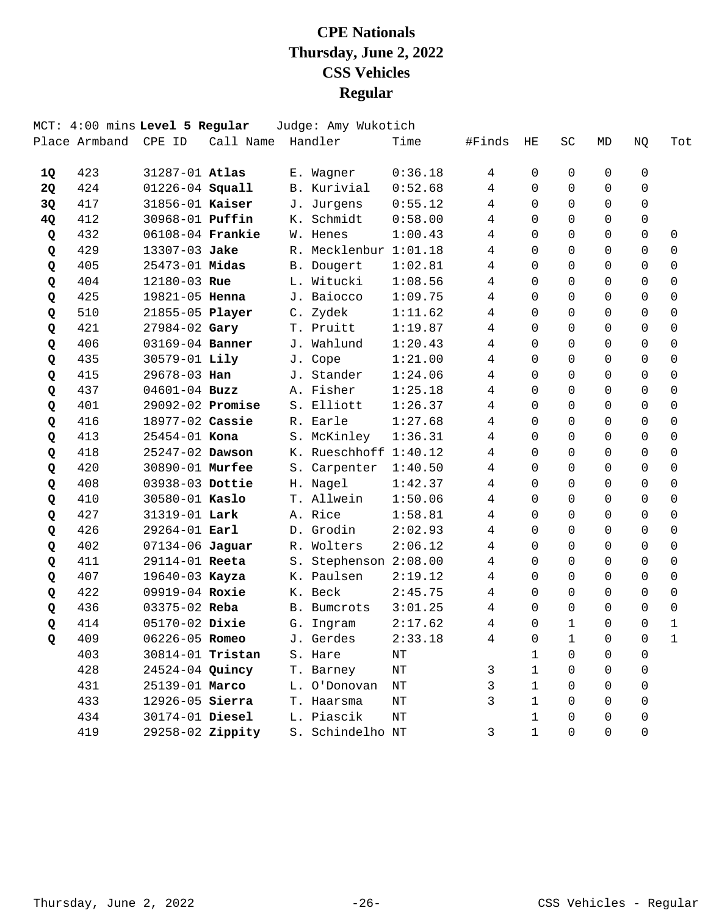|           |                      | MCT: 4:00 mins Level 5 Regular |                  | Judge: Amy Wukotich   |           |                |                |              |                |                |                     |
|-----------|----------------------|--------------------------------|------------------|-----------------------|-----------|----------------|----------------|--------------|----------------|----------------|---------------------|
|           | Place Armband CPE ID |                                | Call Name        | Handler               | Time      | #Finds         | ΗE             | <b>SC</b>    | MD             | NQ             | Tot                 |
| 1Q        | 423                  | 31287-01 Atlas                 |                  | E. Wagner             | 0:36.18   | 4              | 0              | 0            | 0              | 0              |                     |
| <b>2Q</b> | 424                  | 01226-04 Squall                |                  | B. Kurivial           | 0:52.68   | 4              | $\Omega$       | 0            | $\Omega$       | $\Omega$       |                     |
| 3Q        | 417                  | 31856-01 Kaiser                |                  | J. Jurgens            | 0:55.12   | 4              | $\Omega$       | $\Omega$     | $\Omega$       | $\Omega$       |                     |
| 4Q        | 412                  | 30968-01 Puffin                |                  | K. Schmidt            | 0:58.00   | 4              | $\Omega$       | $\Omega$     | $\Omega$       | $\mathsf{O}$   |                     |
| Q         | 432                  | 06108-04 Frankie               |                  | W. Henes              | 1:00.43   | 4              | $\Omega$       | $\Omega$     | $\Omega$       | $\Omega$       | 0                   |
| Q         | 429                  | 13307-03 Jake                  |                  | R. Mecklenbur 1:01.18 |           | 4              | $\Omega$       | $\Omega$     | $\Omega$       | 0              | $\mathbf 0$         |
| Q         | 405                  | 25473-01 Midas                 |                  | B. Dougert            | 1:02.81   | 4              | $\Omega$       | $\Omega$     | $\Omega$       | $\Omega$       | $\mathbf 0$         |
| Q         | 404                  | 12180-03 Rue                   |                  | L. Witucki            | 1:08.56   | $\overline{4}$ | $\mathbf 0$    | $\Omega$     | $\Omega$       | $\mathsf{O}$   | $\mathbf 0$         |
| Q         | 425                  | 19821-05 Henna                 |                  | J. Baiocco            | 1:09.75   | 4              | $\Omega$       | $\Omega$     | $\Omega$       | $\Omega$       | $\mathbf 0$         |
| Q         | 510                  | 21855-05 Player                |                  | C. Zydek              | 1:11.62   | 4              | 0              | $\Omega$     | $\Omega$       | $\Omega$       | $\mathbf 0$         |
| Q         | 421                  | 27984-02 Gary                  |                  | T. Pruitt             | 1:19.87   | 4              | $\Omega$       | $\Omega$     | $\Omega$       | $\Omega$       | $\mathbf 0$         |
| Q         | 406                  | 03169-04 Banner                |                  | J. Wahlund            | 1:20.43   | 4              | $\mathbf 0$    | $\Omega$     | $\Omega$       | $\Omega$       | $\mathbf 0$         |
| Q         | 435                  | 30579-01 Lily                  |                  | J. Cope               | 1:21.00   | $\overline{4}$ | $\Omega$       | $\Omega$     | $\Omega$       | $\Omega$       | $\mathbf 0$         |
| Q         | 415                  | 29678-03 Han                   |                  | J. Stander            | 1:24.06   | 4              | $\Omega$       | 0            | $\Omega$       | $\Omega$       | $\Omega$            |
| Q         | 437                  | $04601 - 04$ Buzz              |                  | A. Fisher             | 1:25.18   | 4              | $\Omega$       | 0            | $\Omega$       | $\Omega$       | $\mathbf 0$         |
| Q         | 401                  | 29092-02 Promise               |                  | S. Elliott            | 1:26.37   | 4              | $\Omega$       | $\Omega$     | $\Omega$       | $\Omega$       | $\mathbf 0$         |
| Q         | 416                  | 18977-02 Cassie                |                  | R. Earle              | 1:27.68   | 4              | $\Omega$       | $\Omega$     | $\Omega$       | $\Omega$       | $\mathbf 0$         |
| Q         | 413                  | 25454-01 Kona                  |                  | S. McKinley           | 1:36.31   | 4              | $\Omega$       | 0            | $\Omega$       | $\Omega$       | $\Omega$            |
| Q         | 418                  | 25247-02 Dawson                |                  | K. Rueschhoff 1:40.12 |           | 4              | $\Omega$       | $\Omega$     | $\Omega$       | $\Omega$       | $\mathbf 0$         |
| Q         | 420                  | 30890-01 Murfee                |                  | S. Carpenter          | 1:40.50   | 4              | $\Omega$       | $\Omega$     | $\Omega$       | $\Omega$       | $\mathbf 0$         |
| Q         | 408                  | 03938-03 Dottie                |                  | H. Nagel              | 1:42.37   | 4              | $\Omega$       | $\Omega$     | $\Omega$       | $\Omega$       | $\mathbf 0$         |
| Q         | 410                  | 30580-01 Kaslo                 |                  | T. Allwein            | 1:50.06   | 4              | $\Omega$       | $\Omega$     | $\Omega$       | $\Omega$       | $\Omega$            |
| Q         | 427                  | 31319-01 Lark                  |                  | A. Rice               | 1:58.81   | 4              | $\Omega$       | 0            | $\Omega$       | $\Omega$       | $\mathbf 0$         |
| Q         | 426                  | 29264-01 Earl                  |                  | D. Grodin             | 2:02.93   | 4              | $\Omega$       | $\Omega$     | $\Omega$       | $\Omega$       | $\Omega$            |
| Q         | 402                  | 07134-06 Jaguar                |                  | R. Wolters            | 2:06.12   | 4              | $\Omega$       | $\Omega$     | $\Omega$       | $\Omega$       | $\mathbf 0$         |
| Q         | 411                  | 29114-01 Reeta                 |                  | S. Stephenson 2:08.00 |           | 4              | $\Omega$       | 0            | $\Omega$       | $\Omega$       | $\Omega$            |
| Q         | 407                  | 19640-03 Kayza                 |                  | K. Paulsen            | 2:19.12   | 4              | $\Omega$       | 0            | $\Omega$       | $\Omega$       | 0                   |
| Q         | 422                  | 09919-04 Roxie                 |                  | K. Beck               | 2:45.75   | 4              | $\Omega$       | $\Omega$     | $\Omega$       | $\Omega$       | $\mathbf 0$         |
| Q         | 436                  | 03375-02 Reba                  |                  | B. Bumcrots           | 3:01.25   | 4              | $\mathbf 0$    | 0            | $\Omega$       | $\Omega$       | $\mathsf{O}\xspace$ |
| Q         | 414                  | 05170-02 Dixie                 |                  | G. Ingram             | 2:17.62   | 4              | $\Omega$       | $\mathbf{1}$ | $\Omega$       | $\Omega$       | $\mathbf 1$         |
| O         | 409                  |                                | 06226-05 Romeo   | J. Gerdes             | 2:33.18   | 4              | $\overline{0}$ | 1            | $\overline{0}$ | $\overline{0}$ | 1                   |
|           | 403                  |                                | 30814-01 Tristan | S. Hare               | ΝT        |                | 1              | 0            | 0              | 0              |                     |
|           | 428                  | 24524-04 Quincy                |                  | T. Barney             | ΝT        | 3              | $\mathbf{1}$   | 0            | 0              | 0              |                     |
|           | 431                  | 25139-01 Marco                 |                  | L. O'Donovan          | $\rm{NT}$ | 3              | $\mathbf{1}$   | 0            | 0              | 0              |                     |
|           | 433                  | 12926-05 Sierra                |                  | T. Haarsma            | NΤ        | 3              | $\mathbf{1}$   | 0            | 0              | 0              |                     |
|           | 434                  | 30174-01 Diesel                |                  | L. Piascik            | NΤ        |                | 1              | 0            | 0              | 0              |                     |
|           | 419                  |                                | 29258-02 Zippity | S. Schindelho NT      |           | 3              | $\mathbf{1}$   | 0            | 0              | 0              |                     |
|           |                      |                                |                  |                       |           |                |                |              |                |                |                     |